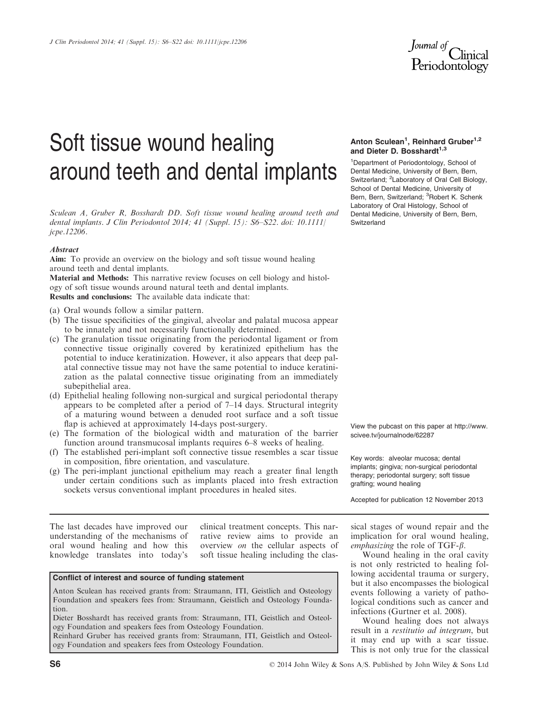Journal of  $\epsilon$ Llinical Periodontology

# Soft tissue wound healing around teeth and dental implants

Sculean A, Gruber R, Bosshardt DD. Soft tissue wound healing around teeth and dental implants. J Clin Periodontol 2014; 41 (Suppl. 15): S6–S22. doi: 10.1111/ jcpe.12206.

#### **Abstract**

Aim: To provide an overview on the biology and soft tissue wound healing around teeth and dental implants.

Material and Methods: This narrative review focuses on cell biology and histology of soft tissue wounds around natural teeth and dental implants. Results and conclusions: The available data indicate that:

- (a) Oral wounds follow a similar pattern.
- (b) The tissue specificities of the gingival, alveolar and palatal mucosa appear to be innately and not necessarily functionally determined.
- (c) The granulation tissue originating from the periodontal ligament or from connective tissue originally covered by keratinized epithelium has the potential to induce keratinization. However, it also appears that deep palatal connective tissue may not have the same potential to induce keratinization as the palatal connective tissue originating from an immediately subepithelial area.
- (d) Epithelial healing following non-surgical and surgical periodontal therapy appears to be completed after a period of 7–14 days. Structural integrity of a maturing wound between a denuded root surface and a soft tissue flap is achieved at approximately 14-days post-surgery.
- (e) The formation of the biological width and maturation of the barrier function around transmucosal implants requires 6–8 weeks of healing.
- (f) The established peri-implant soft connective tissue resembles a scar tissue in composition, fibre orientation, and vasculature.
- (g) The peri-implant junctional epithelium may reach a greater final length under certain conditions such as implants placed into fresh extraction sockets versus conventional implant procedures in healed sites.

The last decades have improved our understanding of the mechanisms of oral wound healing and how this knowledge translates into today's

clinical treatment concepts. This narrative review aims to provide an overview on the cellular aspects of soft tissue healing including the clas-

# Conflict of interest and source of funding statement

Anton Sculean has received grants from: Straumann, ITI, Geistlich and Osteology Foundation and speakers fees from: Straumann, Geistlich and Osteology Foundation.

Dieter Bosshardt has received grants from: Straumann, ITI, Geistlich and Osteology Foundation and speakers fees from Osteology Foundation.

Reinhard Gruber has received grants from: Straumann, ITI, Geistlich and Osteology Foundation and speakers fees from Osteology Foundation.

## Anton Sculean<sup>1</sup>, Reinhard Gruber<sup>1,2</sup> and Dieter D. Bosshardt<sup>1,3</sup>

1 Department of Periodontology, School of Dental Medicine, University of Bern, Bern, Switzerland; <sup>2</sup>Laboratory of Oral Cell Biology, School of Dental Medicine, University of Bern, Bern, Switzerland; <sup>3</sup>Robert K. Schenk Laboratory of Oral Histology, School of Dental Medicine, University of Bern, Bern, Switzerland

View the pubcast on this paper at [http://www.](http://www.scivee.tv/journalnode/62287) [scivee.tv/journalnode/62287](http://www.scivee.tv/journalnode/62287)

Key words: alveolar mucosa; dental implants; gingiva; non-surgical periodontal therapy; periodontal surgery; soft tissue grafting; wound healing

Accepted for publication 12 November 2013

sical stages of wound repair and the implication for oral wound healing, *emphasizing* the role of TGF- $\beta$ .

Wound healing in the oral cavity is not only restricted to healing following accidental trauma or surgery, but it also encompasses the biological events following a variety of pathological conditions such as cancer and infections (Gurtner et al. 2008).

Wound healing does not always result in a restitutio ad integrum, but it may end up with a scar tissue. This is not only true for the classical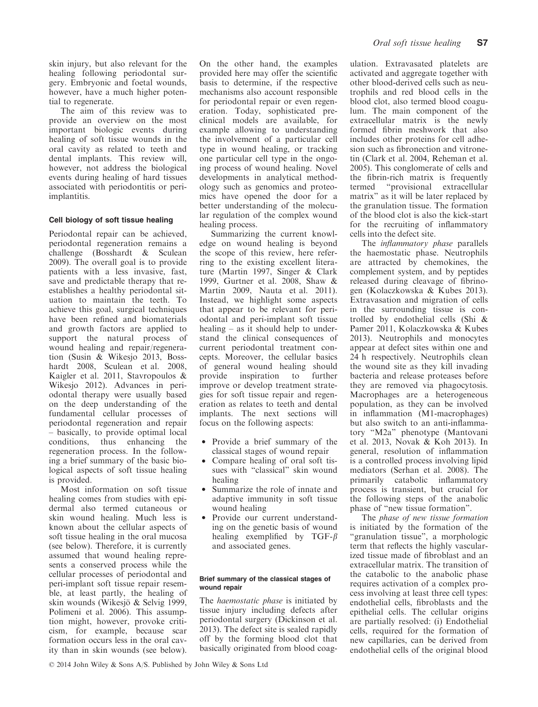skin injury, but also relevant for the healing following periodontal surgery. Embryonic and foetal wounds, however, have a much higher potential to regenerate.

The aim of this review was to provide an overview on the most important biologic events during healing of soft tissue wounds in the oral cavity as related to teeth and dental implants. This review will, however, not address the biological events during healing of hard tissues associated with periodontitis or periimplantitis.

# Cell biology of soft tissue healing

Periodontal repair can be achieved, periodontal regeneration remains a challenge (Bosshardt & Sculean 2009). The overall goal is to provide patients with a less invasive, fast, save and predictable therapy that reestablishes a healthy periodontal situation to maintain the teeth. To achieve this goal, surgical techniques have been refined and biomaterials and growth factors are applied to support the natural process of wound healing and repair/regeneration (Susin & Wikesjo 2013, Bosshardt 2008, Sculean et al. 2008, Kaigler et al. 2011, Stavropoulos & Wikesjo 2012). Advances in periodontal therapy were usually based on the deep understanding of the fundamental cellular processes of periodontal regeneration and repair – basically, to provide optimal local conditions, thus enhancing the regeneration process. In the following a brief summary of the basic biological aspects of soft tissue healing is provided.

Most information on soft tissue healing comes from studies with epidermal also termed cutaneous or skin wound healing. Much less is known about the cellular aspects of soft tissue healing in the oral mucosa (see below). Therefore, it is currently assumed that wound healing represents a conserved process while the cellular processes of periodontal and peri-implant soft tissue repair resemble, at least partly, the healing of skin wounds (Wikesjö & Selvig 1999, Polimeni et al. 2006). This assumption might, however, provoke criticism, for example, because scar formation occurs less in the oral cavity than in skin wounds (see below).

On the other hand, the examples provided here may offer the scientific basis to determine, if the respective mechanisms also account responsible for periodontal repair or even regeneration. Today, sophisticated preclinical models are available, for example allowing to understanding the involvement of a particular cell type in wound healing, or tracking one particular cell type in the ongoing process of wound healing. Novel developments in analytical methodology such as genomics and proteomics have opened the door for a better understanding of the molecular regulation of the complex wound healing process.

Summarizing the current knowledge on wound healing is beyond the scope of this review, here referring to the existing excellent literature (Martin 1997, Singer & Clark 1999, Gurtner et al. 2008, Shaw & Martin 2009, Nauta et al. 2011). Instead, we highlight some aspects that appear to be relevant for periodontal and peri-implant soft tissue healing – as it should help to understand the clinical consequences of current periodontal treatment concepts. Moreover, the cellular basics of general wound healing should provide inspiration to further improve or develop treatment strategies for soft tissue repair and regeneration as relates to teeth and dental implants. The next sections will focus on the following aspects:

- Provide a brief summary of the classical stages of wound repair
- Compare healing of oral soft tissues with "classical" skin wound healing
- Summarize the role of innate and adaptive immunity in soft tissue wound healing
- Provide our current understanding on the genetic basis of wound healing exemplified by TGF- $\beta$ and associated genes.

#### Brief summary of the classical stages of wound repair

The *haemostatic phase* is initiated by tissue injury including defects after periodontal surgery (Dickinson et al. 2013). The defect site is sealed rapidly off by the forming blood clot that basically originated from blood coagulation. Extravasated platelets are activated and aggregate together with other blood-derived cells such as neutrophils and red blood cells in the blood clot, also termed blood coagulum. The main component of the extracellular matrix is the newly formed fibrin meshwork that also includes other proteins for cell adhesion such as fibronection and vitronetin (Clark et al. 2004, Reheman et al. 2005). This conglomerate of cells and the fibrin-rich matrix is frequently termed "provisional extracellular matrix" as it will be later replaced by the granulation tissue. The formation of the blood clot is also the kick-start for the recruiting of inflammatory cells into the defect site. The *inflammatory phase* parallels Oral soft tissue healing **S7** 

the haemostatic phase. Neutrophils are attracted by chemokines, the complement system, and by peptides released during cleavage of fibrinogen (Kolaczkowska & Kubes 2013). Extravasation and migration of cells in the surrounding tissue is controlled by endothelial cells (Shi & Pamer 2011, Kolaczkowska & Kubes 2013). Neutrophils and monocytes appear at defect sites within one and 24 h respectively. Neutrophils clean the wound site as they kill invading bacteria and release proteases before they are removed via phagocytosis. Macrophages are a heterogeneous population, as they can be involved in inflammation (M1-macrophages) but also switch to an anti-inflammatory "M2a" phenotype (Mantovani et al. 2013, Novak & Koh 2013). In general, resolution of inflammation is a controlled process involving lipid mediators (Serhan et al. 2008). The primarily catabolic inflammatory process is transient, but crucial for the following steps of the anabolic phase of "new tissue formation".

The phase of new tissue formation is initiated by the formation of the "granulation tissue", a morphologic term that reflects the highly vascularized tissue made of fibroblast and an extracellular matrix. The transition of the catabolic to the anabolic phase requires activation of a complex process involving at least three cell types: endothelial cells, fibroblasts and the epithelial cells. The cellular origins are partially resolved: (i) Endothelial cells, required for the formation of new capillaries, can be derived from endothelial cells of the original blood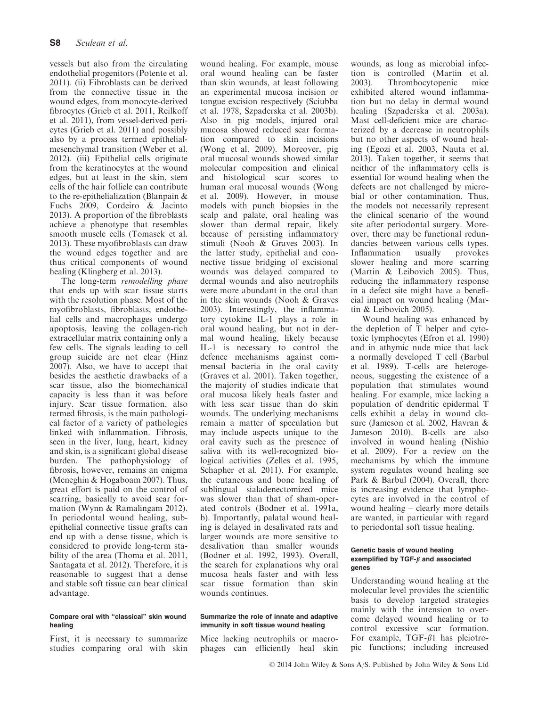vessels but also from the circulating endothelial progenitors (Potente et al. 2011). (ii) Fibroblasts can be derived from the connective tissue in the wound edges, from monocyte-derived fibrocytes (Grieb et al. 2011, Reilkoff et al. 2011), from vessel-derived pericytes (Grieb et al. 2011) and possibly also by a process termed epithelialmesenchymal transition (Weber et al. 2012). (iii) Epithelial cells originate from the keratinocytes at the wound edges, but at least in the skin, stem cells of the hair follicle can contribute to the re-epithelialization (Blanpain & Fuchs 2009, Cordeiro & Jacinto 2013). A proportion of the fibroblasts achieve a phenotype that resembles smooth muscle cells (Tomasek et al. 2013). These myofibroblasts can draw the wound edges together and are thus critical components of wound healing (Klingberg et al. 2013).

The long-term remodelling phase that ends up with scar tissue starts with the resolution phase. Most of the myofibroblasts, fibroblasts, endothelial cells and macrophages undergo apoptosis, leaving the collagen-rich extracellular matrix containing only a few cells. The signals leading to cell group suicide are not clear (Hinz 2007). Also, we have to accept that besides the aesthetic drawbacks of a scar tissue, also the biomechanical capacity is less than it was before injury. Scar tissue formation, also termed fibrosis, is the main pathological factor of a variety of pathologies linked with inflammation. Fibrosis, seen in the liver, lung, heart, kidney and skin, is a significant global disease burden. The pathophysiology of fibrosis, however, remains an enigma (Meneghin & Hogaboam 2007). Thus, great effort is paid on the control of scarring, basically to avoid scar formation (Wynn & Ramalingam 2012). In periodontal wound healing, subepithelial connective tissue grafts can end up with a dense tissue, which is considered to provide long-term stability of the area (Thoma et al. 2011, Santagata et al. 2012). Therefore, it is reasonable to suggest that a dense and stable soft tissue can bear clinical advantage.

## Compare oral with "classical" skin wound healing

First, it is necessary to summarize studies comparing oral with skin

wound healing. For example, mouse oral wound healing can be faster than skin wounds, at least following an experimental mucosa incision or tongue excision respectively (Sciubba et al. 1978, Szpaderska et al. 2003b). Also in pig models, injured oral mucosa showed reduced scar formation compared to skin incisions (Wong et al. 2009). Moreover, pig oral mucosal wounds showed similar molecular composition and clinical and histological scar scores to human oral mucosal wounds (Wong et al. 2009). However, in mouse models with punch biopsies in the scalp and palate, oral healing was slower than dermal repair, likely because of persisting inflammatory stimuli (Nooh & Graves 2003). In the latter study, epithelial and connective tissue bridging of excisional wounds was delayed compared to dermal wounds and also neutrophils were more abundant in the oral than in the skin wounds (Nooh & Graves 2003). Interestingly, the inflammatory cytokine IL-1 plays a role in oral wound healing, but not in dermal wound healing, likely because IL-1 is necessary to control the defence mechanisms against commensal bacteria in the oral cavity (Graves et al. 2001). Taken together, the majority of studies indicate that oral mucosa likely heals faster and with less scar tissue than do skin wounds. The underlying mechanisms remain a matter of speculation but may include aspects unique to the oral cavity such as the presence of saliva with its well-recognized biological activities (Zelles et al. 1995, Schapher et al. 2011). For example, the cutaneous and bone healing of sublingual sialadenectomized mice was slower than that of sham-operated controls (Bodner et al. 1991a, b). Importantly, palatal wound healing is delayed in desalivated rats and larger wounds are more sensitive to desalivation than smaller wounds (Bodner et al. 1992, 1993). Overall, the search for explanations why oral mucosa heals faster and with less scar tissue formation than skin wounds continues.

## Summarize the role of innate and adaptive immunity in soft tissue wound healing

Mice lacking neutrophils or macrophages can efficiently heal skin wounds, as long as microbial infection is controlled (Martin et al.<br>2003) Thrombocytonenic mice Thrombocytopenic exhibited altered wound inflammation but no delay in dermal wound healing (Szpaderska et al. 2003a). Mast cell-deficient mice are characterized by a decrease in neutrophils but no other aspects of wound healing (Egozi et al. 2003, Nauta et al. 2013). Taken together, it seems that neither of the inflammatory cells is essential for wound healing when the defects are not challenged by microbial or other contamination. Thus, the models not necessarily represent the clinical scenario of the wound site after periodontal surgery. Moreover, there may be functional redundancies between various cells types. Inflammation usually provokes slower healing and more scarring (Martin & Leibovich 2005). Thus, reducing the inflammatory response in a defect site might have a beneficial impact on wound healing (Martin & Leibovich 2005).

Wound healing was enhanced by the depletion of T helper and cytotoxic lymphocytes (Efron et al. 1990) and in athymic nude mice that lack a normally developed T cell (Barbul et al. 1989). T-cells are heterogeneous, suggesting the existence of a population that stimulates wound healing. For example, mice lacking a population of dendritic epidermal T cells exhibit a delay in wound closure (Jameson et al. 2002, Havran & Jameson 2010). B-cells are also involved in wound healing (Nishio et al. 2009). For a review on the mechanisms by which the immune system regulates wound healing see Park & Barbul (2004). Overall, there is increasing evidence that lymphocytes are involved in the control of wound healing – clearly more details are wanted, in particular with regard to periodontal soft tissue healing.

## Genetic basis of wound healing exemplified by  $TGF-\beta$  and associated genes

Understanding wound healing at the molecular level provides the scientific basis to develop targeted strategies mainly with the intension to overcome delayed wound healing or to control excessive scar formation. For example, TGF- $\beta$ 1 has pleiotropic functions; including increased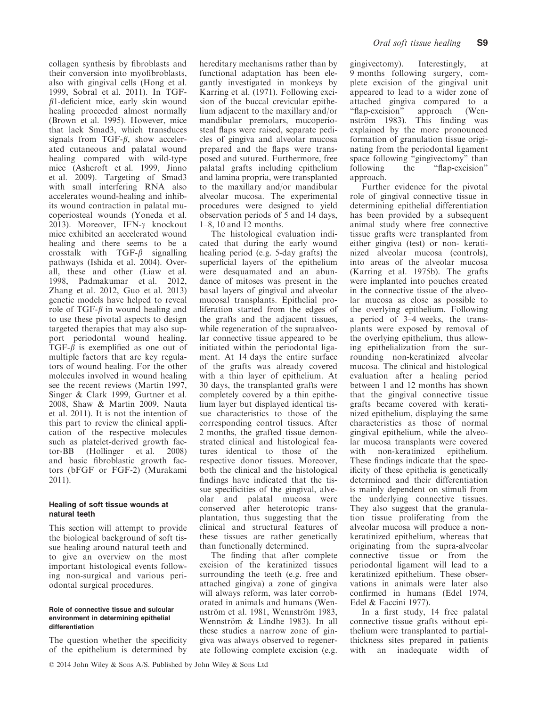collagen synthesis by fibroblasts and their conversion into myofibroblasts, also with gingival cells (Hong et al. 1999, Sobral et al. 2011). In TGF- $\beta$ 1-deficient mice, early skin wound healing proceeded almost normally (Brown et al. 1995). However, mice that lack Smad3, which transduces signals from TGF- $\beta$ , show accelerated cutaneous and palatal wound healing compared with wild-type mice (Ashcroft et al. 1999, Jinno et al. 2009). Targeting of Smad3 with small interfering RNA also accelerates wound-healing and inhibits wound contraction in palatal mucoperiosteal wounds (Yoneda et al. 2013). Moreover, IFN- $\gamma$  knockout mice exhibited an accelerated wound healing and there seems to be a crosstalk with  $TGF-\beta$  signalling pathways (Ishida et al. 2004). Over-

all, these and other (Liaw et al. 1998, Padmakumar et al. 2012, Zhang et al. 2012, Guo et al. 2013) genetic models have helped to reveal role of TGF- $\beta$  in wound healing and to use these pivotal aspects to design targeted therapies that may also support periodontal wound healing. TGF- $\beta$  is exemplified as one out of multiple factors that are key regulators of wound healing. For the other molecules involved in wound healing see the recent reviews (Martin 1997, Singer & Clark 1999, Gurtner et al. 2008, Shaw & Martin 2009, Nauta et al. 2011). It is not the intention of this part to review the clinical application of the respective molecules such as platelet-derived growth factor-BB (Hollinger et al. 2008) and basic fibroblastic growth factors (bFGF or FGF-2) (Murakami 2011).

## Healing of soft tissue wounds at natural teeth

This section will attempt to provide the biological background of soft tissue healing around natural teeth and to give an overview on the most important histological events following non-surgical and various periodontal surgical procedures.

#### Role of connective tissue and sulcular environment in determining epithelial differentiation

The question whether the specificity of the epithelium is determined by

hereditary mechanisms rather than by functional adaptation has been elegantly investigated in monkeys by Karring et al. (1971). Following excision of the buccal crevicular epithelium adjacent to the maxillary and/or mandibular premolars, mucoperiosteal flaps were raised, separate pedicles of gingiva and alveolar mucosa prepared and the flaps were transposed and sutured. Furthermore, free palatal grafts including epithelium and lamina propria, were transplanted to the maxillary and/or mandibular alveolar mucosa. The experimental procedures were designed to yield observation periods of 5 and 14 days, 1–8, 10 and 12 months.

The histological evaluation indicated that during the early wound healing period (e.g. 5-day grafts) the superficial layers of the epithelium were desquamated and an abundance of mitoses was present in the basal layers of gingival and alveolar mucosal transplants. Epithelial proliferation started from the edges of the grafts and the adjacent tissues, while regeneration of the supraalveolar connective tissue appeared to be initiated within the periodontal ligament. At 14 days the entire surface of the grafts was already covered with a thin layer of epithelium. At 30 days, the transplanted grafts were completely covered by a thin epithelium layer but displayed identical tissue characteristics to those of the corresponding control tissues. After 2 months, the grafted tissue demonstrated clinical and histological features identical to those of the respective donor tissues. Moreover, both the clinical and the histological findings have indicated that the tissue specificities of the gingival, alveolar and palatal mucosa were conserved after heterotopic transplantation, thus suggesting that the clinical and structural features of these tissues are rather genetically than functionally determined.

The finding that after complete excision of the keratinized tissues surrounding the teeth (e.g. free and attached gingiva) a zone of gingiva will always reform, was later corroborated in animals and humans (Wennström et al. 1981, Wennström 1983, Wennström  $&$  Lindhe 1983). In all these studies a narrow zone of gingiva was always observed to regenerate following complete excision (e.g.

gingivectomy). Interestingly, at 9 months following surgery, complete excision of the gingival unit appeared to lead to a wider zone of attached gingiva compared to a "flap-excision" approach (Wennström 1983). This finding was explained by the more pronounced formation of granulation tissue originating from the periodontal ligament space following "gingivectomy" than<br>following the "flap-excision" following the "flap-excision" approach.

Further evidence for the pivotal role of gingival connective tissue in determining epithelial differentiation has been provided by a subsequent animal study where free connective tissue grafts were transplanted from either gingiva (test) or non- keratinized alveolar mucosa (controls), into areas of the alveolar mucosa (Karring et al. 1975b). The grafts were implanted into pouches created in the connective tissue of the alveolar mucosa as close as possible to the overlying epithelium. Following a period of 3–4 weeks, the transplants were exposed by removal of the overlying epithelium, thus allowing epithelialization from the surrounding non-keratinized alveolar mucosa. The clinical and histological evaluation after a healing period between 1 and 12 months has shown that the gingival connective tissue grafts became covered with keratinized epithelium, displaying the same characteristics as those of normal gingival epithelium, while the alveolar mucosa transplants were covered<br>with non-keratinized epithelium. non-keratinized epithelium. These findings indicate that the specificity of these epithelia is genetically determined and their differentiation is mainly dependent on stimuli from the underlying connective tissues. They also suggest that the granulation tissue proliferating from the alveolar mucosa will produce a nonkeratinized epithelium, whereas that originating from the supra-alveolar connective tissue or from the periodontal ligament will lead to a keratinized epithelium. These observations in animals were later also confirmed in humans (Edel 1974, Edel & Faccini 1977).

In a first study, 14 free palatal connective tissue grafts without epithelium were transplanted to partialthickness sites prepared in patients with an inadequate width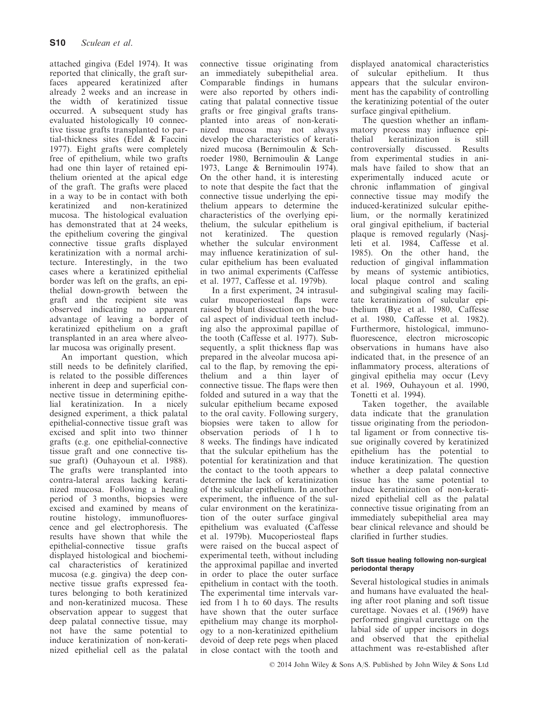attached gingiva (Edel 1974). It was reported that clinically, the graft surfaces appeared keratinized after already 2 weeks and an increase in the width of keratinized tissue occurred. A subsequent study has evaluated histologically 10 connective tissue grafts transplanted to partial-thickness sites (Edel & Faccini 1977). Eight grafts were completely free of epithelium, while two grafts had one thin layer of retained epithelium oriented at the apical edge of the graft. The grafts were placed in a way to be in contact with both keratinized and non-keratinized mucosa. The histological evaluation has demonstrated that at 24 weeks, the epithelium covering the gingival connective tissue grafts displayed keratinization with a normal architecture. Interestingly, in the two cases where a keratinized epithelial border was left on the grafts, an epithelial down-growth between the graft and the recipient site was observed indicating no apparent advantage of leaving a border of keratinized epithelium on a graft transplanted in an area where alveolar mucosa was originally present.

An important question, which still needs to be definitely clarified, is related to the possible differences inherent in deep and superficial connective tissue in determining epithelial keratinization. In a nicely designed experiment, a thick palatal epithelial-connective tissue graft was excised and split into two thinner grafts (e.g. one epithelial-connective tissue graft and one connective tissue graft) (Ouhayoun et al. 1988). The grafts were transplanted into contra-lateral areas lacking keratinized mucosa. Following a healing period of 3 months, biopsies were excised and examined by means of routine histology, immunofluorescence and gel electrophoresis. The results have shown that while the epithelial-connective tissue grafts displayed histological and biochemical characteristics of keratinized mucosa (e.g. gingiva) the deep connective tissue grafts expressed features belonging to both keratinized and non-keratinized mucosa. These observation appear to suggest that deep palatal connective tissue, may not have the same potential to induce keratinization of non-keratinized epithelial cell as the palatal connective tissue originating from an immediately subepithelial area. Comparable findings in humans were also reported by others indicating that palatal connective tissue grafts or free gingival grafts transplanted into areas of non-keratinized mucosa may not always develop the characteristics of keratinized mucosa (Bernimoulin & Schroeder 1980, Bernimoulin & Lange 1973, Lange & Bernimoulin 1974). On the other hand, it is interesting to note that despite the fact that the connective tissue underlying the epithelium appears to determine the characteristics of the overlying epithelium, the sulcular epithelium is not keratinized. The question whether the sulcular environment may influence keratinization of sulcular epithelium has been evaluated in two animal experiments (Caffesse et al. 1977, Caffesse et al. 1979b).

In a first experiment, 24 intrasulcular mucoperiosteal flaps were raised by blunt dissection on the buccal aspect of individual teeth including also the approximal papillae of the tooth (Caffesse et al. 1977). Subsequently, a split thickness flap was prepared in the alveolar mucosa apical to the flap, by removing the epithelium and a thin layer of connective tissue. The flaps were then folded and sutured in a way that the sulcular epithelium became exposed to the oral cavity. Following surgery, biopsies were taken to allow for observation periods of 1 h to 8 weeks. The findings have indicated that the sulcular epithelium has the potential for keratinization and that the contact to the tooth appears to determine the lack of keratinization of the sulcular epithelium. In another experiment, the influence of the sulcular environment on the keratinization of the outer surface gingival epithelium was evaluated (Caffesse et al. 1979b). Mucoperiosteal flaps were raised on the buccal aspect of experimental teeth, without including the approximal papillae and inverted in order to place the outer surface epithelium in contact with the tooth. The experimental time intervals varied from 1 h to 60 days. The results have shown that the outer surface epithelium may change its morphology to a non-keratinized epithelium devoid of deep rete pegs when placed in close contact with the tooth and displayed anatomical characteristics of sulcular epithelium. It thus appears that the sulcular environment has the capability of controlling the keratinizing potential of the outer surface gingival epithelium.

The question whether an inflammatory process may influence epi-<br>thelial keratinization is still keratinization is still controversially discussed. Results from experimental studies in animals have failed to show that an experimentally induced acute or chronic inflammation of gingival connective tissue may modify the induced-keratinized sulcular epithelium, or the normally keratinized oral gingival epithelium, if bacterial plaque is removed regularly (Nasjleti et al. 1984, Caffesse et al. 1985). On the other hand, the reduction of gingival inflammation by means of systemic antibiotics, local plaque control and scaling and subgingival scaling may facilitate keratinization of sulcular epithelium (Bye et al. 1980, Caffesse et al. 1980, Caffesse et al. 1982). Furthermore, histological, immunofluorescence, electron microscopic observations in humans have also indicated that, in the presence of an inflammatory process, alterations of gingival epithelia may occur (Levy et al. 1969, Ouhayoun et al. 1990, Tonetti et al. 1994).

Taken together, the available data indicate that the granulation tissue originating from the periodontal ligament or from connective tissue originally covered by keratinized epithelium has the potential to induce keratinization. The question whether a deep palatal connective tissue has the same potential to induce keratinization of non-keratinized epithelial cell as the palatal connective tissue originating from an immediately subepithelial area may bear clinical relevance and should be clarified in further studies.

# Soft tissue healing following non-surgical periodontal therapy

Several histological studies in animals and humans have evaluated the healing after root planing and soft tissue curettage. Novaes et al. (1969) have performed gingival curettage on the labial side of upper incisors in dogs and observed that the epithelial attachment was re-established after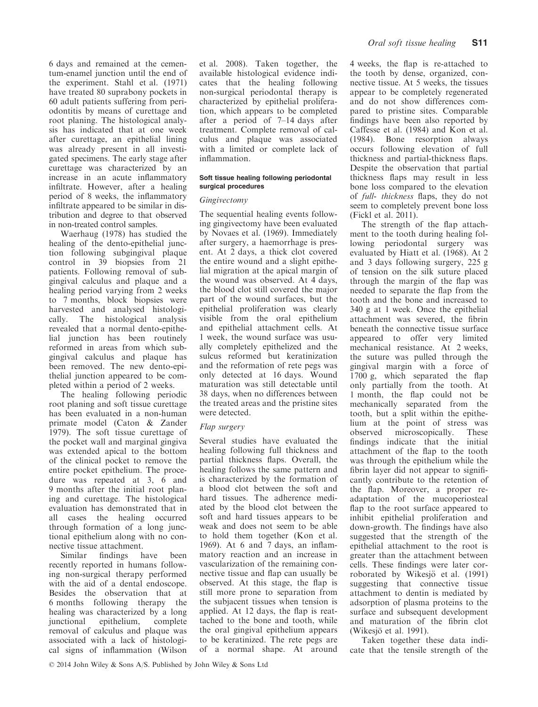6 days and remained at the cementum-enamel junction until the end of the experiment. Stahl et al. (1971) have treated 80 suprabony pockets in 60 adult patients suffering from periodontitis by means of curettage and root planing. The histological analysis has indicated that at one week after curettage, an epithelial lining was already present in all investigated specimens. The early stage after curettage was characterized by an increase in an acute inflammatory infiltrate. However, after a healing period of 8 weeks, the inflammatory infiltrate appeared to be similar in distribution and degree to that observed in non-treated control samples.

Waerhaug (1978) has studied the healing of the dento-epithelial junction following subgingival plaque control in 39 biopsies from 21 patients. Following removal of subgingival calculus and plaque and a healing period varying from 2 weeks to 7 months, block biopsies were harvested and analysed histologically. The histological analysis revealed that a normal dento-epithelial junction has been routinely reformed in areas from which subgingival calculus and plaque has been removed. The new dento-epithelial junction appeared to be completed within a period of 2 weeks.

The healing following periodic root planing and soft tissue curettage has been evaluated in a non-human primate model (Caton & Zander 1979). The soft tissue curettage of the pocket wall and marginal gingiva was extended apical to the bottom of the clinical pocket to remove the entire pocket epithelium. The procedure was repeated at 3, 6 and 9 months after the initial root planing and curettage. The histological evaluation has demonstrated that in all cases the healing occurred through formation of a long junctional epithelium along with no connective tissue attachment.

Similar findings have been recently reported in humans following non-surgical therapy performed with the aid of a dental endoscope. Besides the observation that at 6 months following therapy the healing was characterized by a long junctional epithelium, complete removal of calculus and plaque was associated with a lack of histological signs of inflammation (Wilson

et al. 2008). Taken together, the available histological evidence indicates that the healing following non-surgical periodontal therapy is characterized by epithelial proliferation, which appears to be completed after a period of 7–14 days after treatment. Complete removal of calculus and plaque was associated with a limited or complete lack of inflammation.

## Soft tissue healing following periodontal surgical procedures

# Gingivectomy

The sequential healing events following gingivectomy have been evaluated by Novaes et al. (1969). Immediately after surgery, a haemorrhage is present. At 2 days, a thick clot covered the entire wound and a slight epithelial migration at the apical margin of the wound was observed. At 4 days, the blood clot still covered the major part of the wound surfaces, but the epithelial proliferation was clearly visible from the oral epithelium and epithelial attachment cells. At 1 week, the wound surface was usually completely epithelized and the sulcus reformed but keratinization and the reformation of rete pegs was only detected at 16 days. Wound maturation was still detectable until 38 days, when no differences between the treated areas and the pristine sites were detected.

# Flap surgery

Several studies have evaluated the healing following full thickness and partial thickness flaps. Overall, the healing follows the same pattern and is characterized by the formation of a blood clot between the soft and hard tissues. The adherence mediated by the blood clot between the soft and hard tissues appears to be weak and does not seem to be able to hold them together (Kon et al. 1969). At 6 and 7 days, an inflammatory reaction and an increase in vascularization of the remaining connective tissue and flap can usually be observed. At this stage, the flap is still more prone to separation from the subjacent tissues when tension is applied. At 12 days, the flap is reattached to the bone and tooth, while the oral gingival epithelium appears to be keratinized. The rete pegs are of a normal shape. At around 4 weeks, the flap is re-attached to the tooth by dense, organized, connective tissue. At 5 weeks, the tissues appear to be completely regenerated and do not show differences compared to pristine sites. Comparable findings have been also reported by Caffesse et al. (1984) and Kon et al. (1984). Bone resorption always occurs following elevation of full thickness and partial-thickness flaps. Despite the observation that partial thickness flaps may result in less bone loss compared to the elevation of full- thickness flaps, they do not seem to completely prevent bone loss (Fickl et al. 2011).

The strength of the flap attachment to the tooth during healing following periodontal surgery was evaluated by Hiatt et al. (1968). At 2 and 3 days following surgery, 225 g of tension on the silk suture placed through the margin of the flap was needed to separate the flap from the tooth and the bone and increased to 340 g at 1 week. Once the epithelial attachment was severed, the fibrin beneath the connective tissue surface appeared to offer very limited mechanical resistance. At 2 weeks, the suture was pulled through the gingival margin with a force of 1700 g, which separated the flap only partially from the tooth. At 1 month, the flap could not be mechanically separated from the tooth, but a split within the epithelium at the point of stress was<br>observed microscopically. These observed microscopically. findings indicate that the initial attachment of the flap to the tooth was through the epithelium while the fibrin layer did not appear to significantly contribute to the retention of the flap. Moreover, a proper readaptation of the mucoperiosteal flap to the root surface appeared to inhibit epithelial proliferation and down-growth. The findings have also suggested that the strength of the epithelial attachment to the root is greater than the attachment between cells. These findings were later corroborated by Wikesjö et al. (1991) suggesting that connective tissue attachment to dentin is mediated by adsorption of plasma proteins to the surface and subsequent development and maturation of the fibrin clot (Wikesjö et al. 1991).

Taken together these data indicate that the tensile strength of the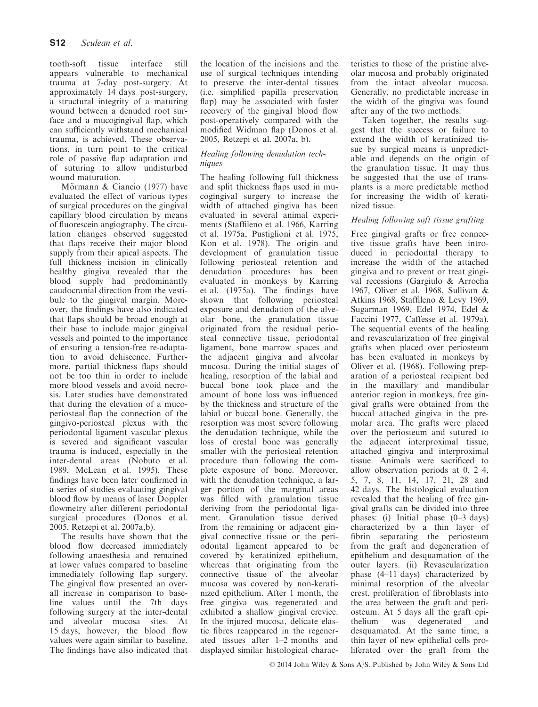tooth-soft tissue interface still appears vulnerable to mechanical trauma at 7-day post-surgery. At approximately 14 days post-surgery, a structural integrity of a maturing wound between a denuded root surface and a mucogingival flap, which can sufficiently withstand mechanical trauma, is achieved. These observations, in turn point to the critical role of passive flap adaptation and of suturing to allow undisturbed wound maturation.

Mörmann & Ciancio (1977) have evaluated the effect of various types of surgical procedures on the gingival capillary blood circulation by means of fluorescein angiography. The circulation changes observed suggested that flaps receive their major blood supply from their apical aspects. The full thickness incision in clinically healthy gingiva revealed that the blood supply had predominantly caudocranial direction from the vestibule to the gingival margin. Moreover, the findings have also indicated that flaps should be broad enough at their base to include major gingival vessels and pointed to the importance of ensuring a tension-free re-adaptation to avoid dehiscence. Furthermore, partial thickness flaps should not be too thin in order to include more blood vessels and avoid necrosis. Later studies have demonstrated that during the elevation of a mucoperiosteal flap the connection of the gingivo-periosteal plexus with the periodontal ligament vascular plexus is severed and significant vascular trauma is induced, especially in the inter-dental areas (Nobuto et al. 1989, McLean et al. 1995). These findings have been later confirmed in a series of studies evaluating gingival blood flow by means of laser Doppler flowmetry after different periodontal surgical procedures (Donos et al. 2005, Retzepi et al. 2007a,b).

The results have shown that the blood flow decreased immediately following anaesthesia and remained at lower values compared to baseline immediately following flap surgery. The gingival flow presented an overall increase in comparison to baseline values until the 7th days following surgery at the inter-dental and alveolar mucosa sites. At 15 days, however, the blood flow values were again similar to baseline. The findings have also indicated that

the location of the incisions and the use of surgical techniques intending to preserve the inter-dental tissues (i.e. simplified papilla preservation flap) may be associated with faster recovery of the gingival blood flow post-operatively compared with the modified Widman flap (Donos et al. 2005, Retzepi et al. 2007a, b).

# Healing following denudation techniques

The healing following full thickness and split thickness flaps used in mucogingival surgery to increase the width of attached gingiva has been evaluated in several animal experiments (Staffileno et al. 1966, Karring et al. 1975a, Pustiglioni et al. 1975, Kon et al. 1978). The origin and development of granulation tissue following periosteal retention and denudation procedures has been evaluated in monkeys by Karring et al. (1975a). The findings have shown that following periosteal exposure and denudation of the alveolar bone, the granulation tissue originated from the residual periosteal connective tissue, periodontal ligament, bone marrow spaces and the adjacent gingiva and alveolar mucosa. During the initial stages of healing, resorption of the labial and buccal bone took place and the amount of bone loss was influenced by the thickness and structure of the labial or buccal bone. Generally, the resorption was most severe following the denudation technique, while the loss of crestal bone was generally smaller with the periosteal retention procedure than following the complete exposure of bone. Moreover, with the denudation technique, a larger portion of the marginal areas was filled with granulation tissue deriving from the periodontal ligament. Granulation tissue derived from the remaining or adjacent gingival connective tissue or the periodontal ligament appeared to be covered by keratinized epithelium, whereas that originating from the connective tissue of the alveolar mucosa was covered by non-keratinized epithelium. After 1 month, the free gingiva was regenerated and exhibited a shallow gingival crevice. In the injured mucosa, delicate elastic fibres reappeared in the regenerated tissues after 1–2 months and displayed similar histological characteristics to those of the pristine alveolar mucosa and probably originated from the intact alveolar mucosa. Generally, no predictable increase in the width of the gingiva was found after any of the two methods.

Taken together, the results suggest that the success or failure to extend the width of keratinized tissue by surgical means is unpredictable and depends on the origin of the granulation tissue. It may thus be suggested that the use of transplants is a more predictable method for increasing the width of keratinized tissue.

# Healing following soft tissue grafting

Free gingival grafts or free connective tissue grafts have been introduced in periodontal therapy to increase the width of the attached gingiva and to prevent or treat gingival recessions (Gargiulo & Arrocha 1967, Oliver et al. 1968, Sullivan & Atkins 1968, Staffileno & Levy 1969, Sugarman 1969, Edel 1974, Edel & Faccini 1977, Caffesse et al. 1979a). The sequential events of the healing and revascularization of free gingival grafts when placed over periosteum has been evaluated in monkeys by Oliver et al. (1968). Following preparation of a periosteal recipient bed in the maxillary and mandibular anterior region in monkeys, free gingival grafts were obtained from the buccal attached gingiva in the premolar area. The grafts were placed over the periosteum and sutured to the adjacent interproximal tissue, attached gingiva and interproximal tissue. Animals were sacrificed to allow observation periods at 0, 2 4, 5, 7, 8, 11, 14, 17, 21, 28 and 42 days. The histological evaluation revealed that the healing of free gingival grafts can be divided into three phases: (i) Initial phase (0–3 days) characterized by a thin layer of fibrin separating the periosteum from the graft and degeneration of epithelium and desquamation of the outer layers. (ii) Revascularization phase (4–11 days) characterized by minimal resorption of the alveolar crest, proliferation of fibroblasts into the area between the graft and periosteum. At 5 days all the graft epithelium was degenerated and desquamated. At the same time, a thin layer of new epithelial cells proliferated over the graft from the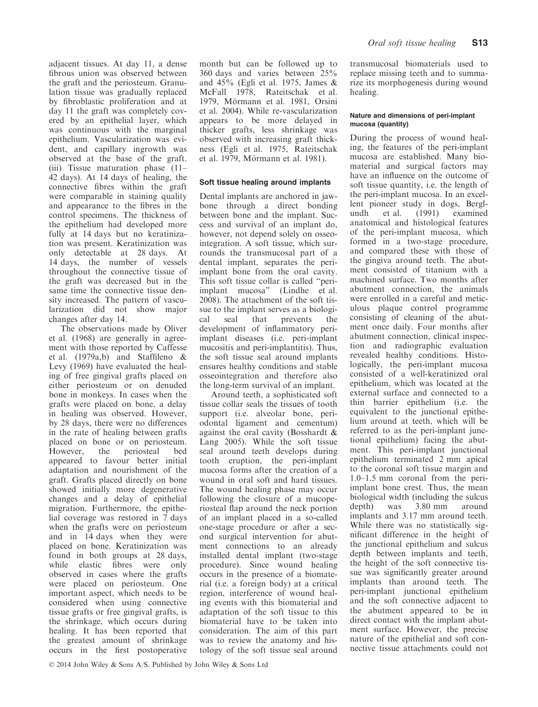adjacent tissues. At day 11, a dense fibrous union was observed between the graft and the periosteum. Granulation tissue was gradually replaced by fibroblastic proliferation and at day 11 the graft was completely covered by an epithelial layer, which was continuous with the marginal epithelium. Vascularization was evident, and capillary ingrowth was observed at the base of the graft. (iii) Tissue maturation phase (11– 42 days). At 14 days of healing, the connective fibres within the graft were comparable in staining quality and appearance to the fibres in the control specimens. The thickness of the epithelium had developed more fully at 14 days but no keratinization was present. Keratinization was only detectable at 28 days. At 14 days, the number of vessels throughout the connective tissue of the graft was decreased but in the same time the connective tissue density increased. The pattern of vascularization did not show major changes after day 14.

The observations made by Oliver et al. (1968) are generally in agreement with those reported by Caffesse et al. (1979a,b) and Staffileno & Levy (1969) have evaluated the healing of free gingival grafts placed on either periosteum or on denuded bone in monkeys. In cases when the grafts were placed on bone, a delay in healing was observed. However, by 28 days, there were no differences in the rate of healing between grafts placed on bone or on periosteum. However, the periosteal bed appeared to favour better initial adaptation and nourishment of the graft. Grafts placed directly on bone showed initially more degenerative changes and a delay of epithelial migration. Furthermore, the epithelial coverage was restored in 7 days when the grafts were on periosteum and in 14 days when they were placed on bone. Keratinization was found in both groups at 28 days, while elastic fibres were only observed in cases where the grafts were placed on periosteum. One important aspect, which needs to be considered when using connective tissue grafts or free gingival grafts, is the shrinkage, which occurs during healing. It has been reported that the greatest amount of shrinkage occurs in the first postoperative

# Soft tissue healing around implants

Dental implants are anchored in jawbone through a direct bonding between bone and the implant. Success and survival of an implant do, however, not depend solely on osseointegration. A soft tissue, which surrounds the transmucosal part of a dental implant, separates the periimplant bone from the oral cavity. This soft tissue collar is called "periimplant mucosa" (Lindhe et al. 2008). The attachment of the soft tissue to the implant serves as a biological seal that prevents the development of inflammatory periimplant diseases (i.e. peri-implant mucositis and peri-implantitis). Thus, the soft tissue seal around implants ensures healthy conditions and stable osseointegration and therefore also the long-term survival of an implant.

Around teeth, a sophisticated soft tissue collar seals the tissues of tooth support (i.e. alveolar bone, periodontal ligament and cementum) against the oral cavity (Bosshardt & Lang 2005). While the soft tissue seal around teeth develops during tooth eruption, the peri-implant mucosa forms after the creation of a wound in oral soft and hard tissues. The wound healing phase may occur following the closure of a mucoperiosteal flap around the neck portion of an implant placed in a so-called one-stage procedure or after a second surgical intervention for abutment connections to an already installed dental implant (two-stage procedure). Since wound healing occurs in the presence of a biomaterial (i.e. a foreign body) at a critical region, interference of wound healing events with this biomaterial and adaptation of the soft tissue to this biomaterial have to be taken into consideration. The aim of this part was to review the anatomy and histology of the soft tissue seal around transmucosal biomaterials used to replace missing teeth and to summarize its morphogenesis during wound healing.

# Nature and dimensions of peri-implant mucosa (quantity)

During the process of wound healing, the features of the peri-implant mucosa are established. Many biomaterial and surgical factors may have an influence on the outcome of soft tissue quantity, i.e. the length of the peri-implant mucosa. In an excellent pioneer study in dogs, Bergl-<br>undh et al. (1991) examined undh et al. (1991) examined anatomical and histological features of the peri-implant mucosa, which formed in a two-stage procedure, and compared these with those of the gingiva around teeth. The abutment consisted of titanium with a machined surface. Two months after abutment connection, the animals were enrolled in a careful and meticulous plaque control programme consisting of cleaning of the abutment once daily. Four months after abutment connection, clinical inspection and radiographic evaluation revealed healthy conditions. Histologically, the peri-implant mucosa consisted of a well-keratinized oral epithelium, which was located at the external surface and connected to a thin barrier epithelium (i.e. the equivalent to the junctional epithelium around at teeth, which will be referred to as the peri-implant junctional epithelium) facing the abutment. This peri-implant junctional epithelium terminated 2 mm apical to the coronal soft tissue margin and 1.0–1.5 mm coronal from the periimplant bone crest. Thus, the mean biological width (including the sulcus depth) was 3.80 mm around depth) was 3.80 mm around implants and 3.17 mm around teeth. While there was no statistically significant difference in the height of the junctional epithelium and sulcus depth between implants and teeth, the height of the soft connective tissue was significantly greater around implants than around teeth. The peri-implant junctional epithelium and the soft connective adjacent to the abutment appeared to be in direct contact with the implant abutment surface. However, the precise nature of the epithelial and soft connective tissue attachments could not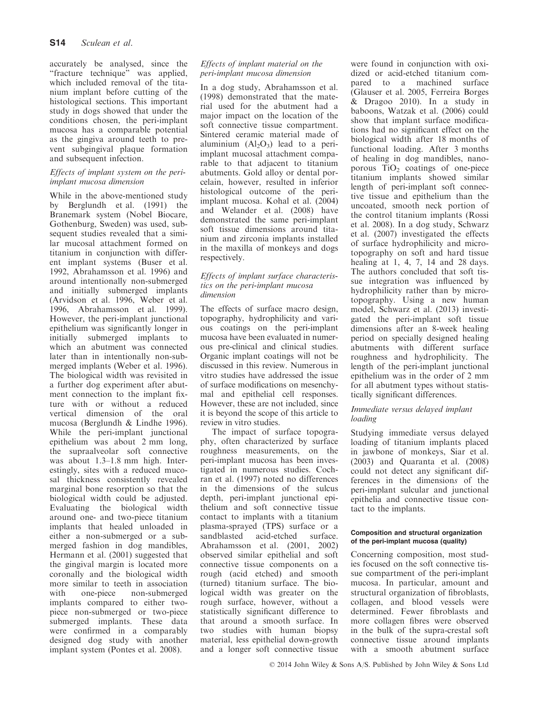accurately be analysed, since the "fracture technique" was applied, which included removal of the titanium implant before cutting of the histological sections. This important study in dogs showed that under the conditions chosen, the peri-implant mucosa has a comparable potential as the gingiva around teeth to prevent subgingival plaque formation and subsequent infection.

# Effects of implant system on the periimplant mucosa dimension

While in the above-mentioned study by Berglundh et al. (1991) the Branemark system (Nobel Biocare, Gothenburg, Sweden) was used, subsequent studies revealed that a similar mucosal attachment formed on titanium in conjunction with different implant systems (Buser et al. 1992, Abrahamsson et al. 1996) and around intentionally non-submerged and initially submerged implants (Arvidson et al. 1996, Weber et al. 1996, Abrahamsson et al. 1999). However, the peri-implant junctional epithelium was significantly longer in initially submerged implants to which an abutment was connected later than in intentionally non-submerged implants (Weber et al. 1996). The biological width was revisited in a further dog experiment after abutment connection to the implant fixture with or without a reduced vertical dimension of the oral mucosa (Berglundh & Lindhe 1996). While the peri-implant junctional epithelium was about 2 mm long, the supraalveolar soft connective was about 1.3–1.8 mm high. Interestingly, sites with a reduced mucosal thickness consistently revealed marginal bone resorption so that the biological width could be adjusted. Evaluating the biological width around one- and two-piece titanium implants that healed unloaded in either a non-submerged or a submerged fashion in dog mandibles, Hermann et al. (2001) suggested that the gingival margin is located more coronally and the biological width more similar to teeth in association with one-piece non-submerged implants compared to either twopiece non-submerged or two-piece submerged implants. These data were confirmed in a comparably designed dog study with another implant system (Pontes et al. 2008).

# Effects of implant material on the peri-implant mucosa dimension

In a dog study, Abrahamsson et al. (1998) demonstrated that the material used for the abutment had a major impact on the location of the soft connective tissue compartment. Sintered ceramic material made of aluminium  $(Al_2O_3)$  lead to a periimplant mucosal attachment comparable to that adjacent to titanium abutments. Gold alloy or dental porcelain, however, resulted in inferior histological outcome of the periimplant mucosa. Kohal et al. (2004) and Welander et al. (2008) have demonstrated the same peri-implant soft tissue dimensions around titanium and zirconia implants installed in the maxilla of monkeys and dogs respectively.

# Effects of implant surface characteristics on the peri-implant mucosa dimension

The effects of surface macro design, topography, hydrophilicity and various coatings on the peri-implant mucosa have been evaluated in numerous pre-clinical and clinical studies. Organic implant coatings will not be discussed in this review. Numerous in vitro studies have addressed the issue of surface modifications on mesenchymal and epithelial cell responses. However, these are not included, since it is beyond the scope of this article to review in vitro studies.

The impact of surface topography, often characterized by surface roughness measurements, on the peri-implant mucosa has been investigated in numerous studies. Cochran et al. (1997) noted no differences in the dimensions of the sulcus depth, peri-implant junctional epithelium and soft connective tissue contact to implants with a titanium plasma-sprayed (TPS) surface or a sandblasted acid-etched surface. Abrahamsson et al. (2001, 2002) observed similar epithelial and soft connective tissue components on a rough (acid etched) and smooth (turned) titanium surface. The biological width was greater on the rough surface, however, without a statistically significant difference to that around a smooth surface. In two studies with human biopsy material, less epithelial down-growth and a longer soft connective tissue were found in conjunction with oxidized or acid-etched titanium compared to a machined surface (Glauser et al. 2005, Ferreira Borges & Dragoo 2010). In a study in baboons, Watzak et al. (2006) could show that implant surface modifications had no significant effect on the biological width after 18 months of functional loading. After 3 months of healing in dog mandibles, nanoporous  $TiO<sub>2</sub>$  coatings of one-piece titanium implants showed similar length of peri-implant soft connective tissue and epithelium than the uncoated, smooth neck portion of the control titanium implants (Rossi et al. 2008). In a dog study, Schwarz et al. (2007) investigated the effects of surface hydrophilicity and microtopography on soft and hard tissue healing at 1, 4, 7, 14 and 28 days. The authors concluded that soft tissue integration was influenced by hydrophilicity rather than by microtopography. Using a new human model, Schwarz et al. (2013) investigated the peri-implant soft tissue dimensions after an 8-week healing period on specially designed healing abutments with different surface roughness and hydrophilicity. The length of the peri-implant junctional epithelium was in the order of 2 mm for all abutment types without statistically significant differences.

# Immediate versus delayed implant loading

Studying immediate versus delayed loading of titanium implants placed in jawbone of monkeys, Siar et al. (2003) and Quaranta et al. (2008) could not detect any significant differences in the dimensions of the peri-implant sulcular and junctional epithelia and connective tissue contact to the implants.

# Composition and structural organization of the peri-implant mucosa (quality)

Concerning composition, most studies focused on the soft connective tissue compartment of the peri-implant mucosa. In particular, amount and structural organization of fibroblasts, collagen, and blood vessels were determined. Fewer fibroblasts and more collagen fibres were observed in the bulk of the supra-crestal soft connective tissue around implants with a smooth abutment surface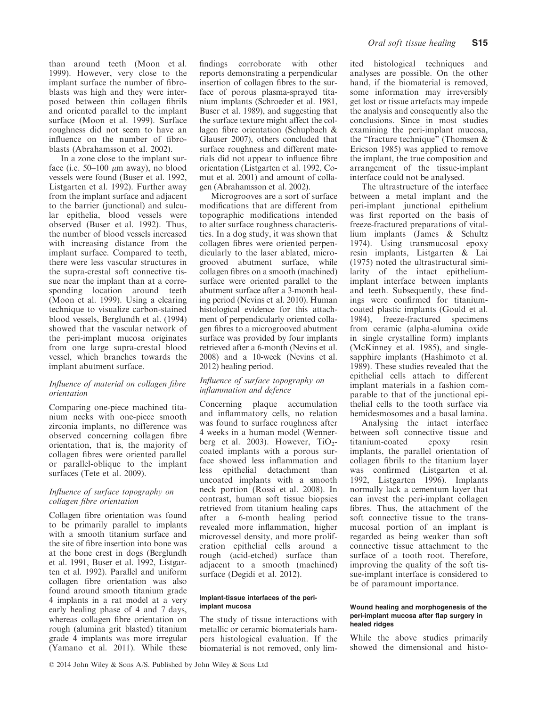than around teeth (Moon et al. 1999). However, very close to the implant surface the number of fibroblasts was high and they were interposed between thin collagen fibrils and oriented parallel to the implant surface (Moon et al. 1999). Surface roughness did not seem to have an influence on the number of fibroblasts (Abrahamsson et al. 2002).

In a zone close to the implant surface (i.e. 50–100  $\mu$ m away), no blood vessels were found (Buser et al. 1992, Listgarten et al. 1992). Further away from the implant surface and adjacent to the barrier (junctional) and sulcular epithelia, blood vessels were observed (Buser et al. 1992). Thus, the number of blood vessels increased with increasing distance from the implant surface. Compared to teeth, there were less vascular structures in the supra-crestal soft connective tissue near the implant than at a corresponding location around teeth (Moon et al. 1999). Using a clearing technique to visualize carbon-stained blood vessels, Berglundh et al. (1994) showed that the vascular network of the peri-implant mucosa originates from one large supra-crestal blood vessel, which branches towards the implant abutment surface.

# Influence of material on collagen fibre orientation

Comparing one-piece machined titanium necks with one-piece smooth zirconia implants, no difference was observed concerning collagen fibre orientation, that is, the majority of collagen fibres were oriented parallel or parallel-oblique to the implant surfaces (Tete et al. 2009).

# Influence of surface topography on collagen fibre orientation

Collagen fibre orientation was found to be primarily parallel to implants with a smooth titanium surface and the site of fibre insertion into bone was at the bone crest in dogs (Berglundh et al. 1991, Buser et al. 1992, Listgarten et al. 1992). Parallel and uniform collagen fibre orientation was also found around smooth titanium grade 4 implants in a rat model at a very early healing phase of 4 and 7 days, whereas collagen fibre orientation on rough (alumina grit blasted) titanium grade 4 implants was more irregular (Yamano et al. 2011). While these

findings corroborate with other reports demonstrating a perpendicular insertion of collagen fibres to the surface of porous plasma-sprayed titanium implants (Schroeder et al. 1981, Buser et al. 1989), and suggesting that the surface texture might affect the collagen fibre orientation (Schupbach & Glauser 2007), others concluded that surface roughness and different materials did not appear to influence fibre orientation (Listgarten et al. 1992, Comut et al. 2001) and amount of collagen (Abrahamsson et al. 2002).

Microgrooves are a sort of surface modifications that are different from topographic modifications intended to alter surface roughness characteristics. In a dog study, it was shown that collagen fibres were oriented perpendicularly to the laser ablated, microgrooved abutment surface, while collagen fibres on a smooth (machined) surface were oriented parallel to the abutment surface after a 3-month healing period (Nevins et al. 2010). Human histological evidence for this attachment of perpendicularly oriented collagen fibres to a microgrooved abutment surface was provided by four implants retrieved after a 6-month (Nevins et al. 2008) and a 10-week (Nevins et al. 2012) healing period.

# Influence of surface topography on inflammation and defence

Concerning plaque accumulation and inflammatory cells, no relation was found to surface roughness after 4 weeks in a human model (Wennerberg et al. 2003). However,  $TiO<sub>2</sub>$ coated implants with a porous surface showed less inflammation and less epithelial detachment than uncoated implants with a smooth neck portion (Rossi et al. 2008). In contrast, human soft tissue biopsies retrieved from titanium healing caps after a 6-month healing period revealed more inflammation, higher microvessel density, and more proliferation epithelial cells around a rough (acid-etched) surface than adjacent to a smooth (machined) surface (Degidi et al. 2012).

## Implant-tissue interfaces of the periimplant mucosa

The study of tissue interactions with metallic or ceramic biomaterials hampers histological evaluation. If the biomaterial is not removed, only limited histological techniques and analyses are possible. On the other hand, if the biomaterial is removed, some information may irreversibly get lost or tissue artefacts may impede the analysis and consequently also the conclusions. Since in most studies examining the peri-implant mucosa, the "fracture technique" (Thomsen & Ericson 1985) was applied to remove the implant, the true composition and arrangement of the tissue-implant interface could not be analysed.

The ultrastructure of the interface between a metal implant and the peri-implant junctional epithelium was first reported on the basis of freeze-fractured preparations of vitallium implants (James & Schultz 1974). Using transmucosal epoxy resin implants, Listgarten & Lai (1975) noted the ultrastructural similarity of the intact epitheliumimplant interface between implants and teeth. Subsequently, these findings were confirmed for titaniumcoated plastic implants (Gould et al. 1984), freeze-fractured specimens from ceramic (alpha-alumina oxide in single crystalline form) implants (McKinney et al. 1985), and singlesapphire implants (Hashimoto et al. 1989). These studies revealed that the epithelial cells attach to different implant materials in a fashion comparable to that of the junctional epithelial cells to the tooth surface via hemidesmosomes and a basal lamina.

Analysing the intact interface between soft connective tissue and titanium-coated epoxy resin implants, the parallel orientation of collagen fibrils to the titanium layer was confirmed (Listgarten et al. 1992, Listgarten 1996). Implants normally lack a cementum layer that can invest the peri-implant collagen fibres. Thus, the attachment of the soft connective tissue to the transmucosal portion of an implant is regarded as being weaker than soft connective tissue attachment to the surface of a tooth root. Therefore, improving the quality of the soft tissue-implant interface is considered to be of paramount importance.

#### Wound healing and morphogenesis of the peri-implant mucosa after flap surgery in healed ridges

While the above studies primarily showed the dimensional and histo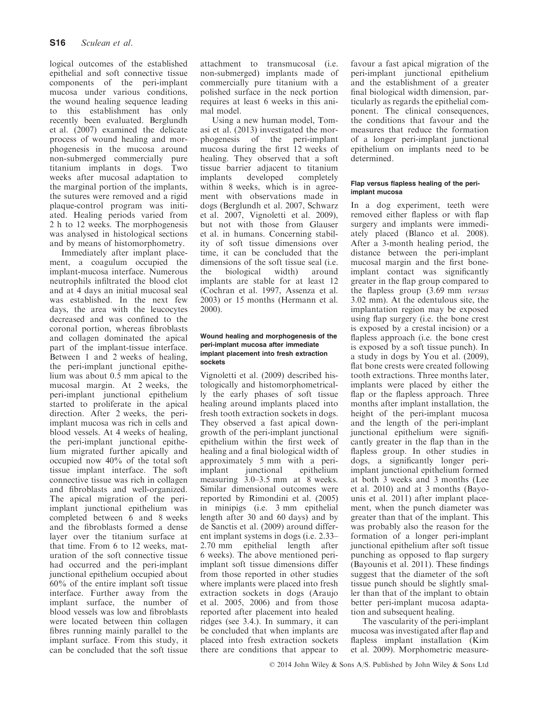logical outcomes of the established epithelial and soft connective tissue components of the peri-implant mucosa under various conditions. the wound healing sequence leading to this establishment has only recently been evaluated. Berglundh et al. (2007) examined the delicate process of wound healing and morphogenesis in the mucosa around non-submerged commercially pure titanium implants in dogs. Two weeks after mucosal adaptation to the marginal portion of the implants, the sutures were removed and a rigid plaque-control program was initiated. Healing periods varied from 2 h to 12 weeks. The morphogenesis was analysed in histological sections and by means of histomorphometry.

Immediately after implant placement, a coagulum occupied the implant-mucosa interface. Numerous neutrophils infiltrated the blood clot and at 4 days an initial mucosal seal was established. In the next few days, the area with the leucocytes decreased and was confined to the coronal portion, whereas fibroblasts and collagen dominated the apical part of the implant-tissue interface. Between 1 and 2 weeks of healing, the peri-implant junctional epithelium was about 0.5 mm apical to the mucosal margin. At 2 weeks, the peri-implant junctional epithelium started to proliferate in the apical direction. After 2 weeks, the periimplant mucosa was rich in cells and blood vessels. At 4 weeks of healing, the peri-implant junctional epithelium migrated further apically and occupied now 40% of the total soft tissue implant interface. The soft connective tissue was rich in collagen and fibroblasts and well-organized. The apical migration of the periimplant junctional epithelium was completed between 6 and 8 weeks and the fibroblasts formed a dense layer over the titanium surface at that time. From 6 to 12 weeks, maturation of the soft connective tissue had occurred and the peri-implant junctional epithelium occupied about 60% of the entire implant soft tissue interface. Further away from the implant surface, the number of blood vessels was low and fibroblasts were located between thin collagen fibres running mainly parallel to the implant surface. From this study, it can be concluded that the soft tissue

attachment to transmucosal (i.e. non-submerged) implants made of commercially pure titanium with a polished surface in the neck portion requires at least 6 weeks in this animal model.

Using a new human model, Tomasi et al. (2013) investigated the morphogenesis of the peri-implant mucosa during the first 12 weeks of healing. They observed that a soft tissue barrier adjacent to titanium implants developed completely within 8 weeks, which is in agreement with observations made in dogs (Berglundh et al. 2007, Schwarz et al. 2007, Vignoletti et al. 2009), but not with those from Glauser et al. in humans. Concerning stability of soft tissue dimensions over time, it can be concluded that the dimensions of the soft tissue seal (i.e. the biological width) around implants are stable for at least 12 (Cochran et al. 1997, Assenza et al. 2003) or 15 months (Hermann et al. 2000).

## Wound healing and morphogenesis of the peri-implant mucosa after immediate implant placement into fresh extraction sockets

Vignoletti et al. (2009) described histologically and histomorphometrically the early phases of soft tissue healing around implants placed into fresh tooth extraction sockets in dogs. They observed a fast apical downgrowth of the peri-implant junctional epithelium within the first week of healing and a final biological width of approximately 5 mm with a periimplant junctional epithelium measuring  $3.0-3.5$  mm at  $8$  weeks. Similar dimensional outcomes were reported by Rimondini et al. (2005) in minipigs (i.e. 3 mm epithelial length after 30 and 60 days) and by de Sanctis et al. (2009) around different implant systems in dogs (i.e. 2.33– 2.70 mm epithelial length after 6 weeks). The above mentioned periimplant soft tissue dimensions differ from those reported in other studies where implants were placed into fresh extraction sockets in dogs (Araujo et al. 2005, 2006) and from those reported after placement into healed ridges (see 3.4.). In summary, it can be concluded that when implants are placed into fresh extraction sockets there are conditions that appear to favour a fast apical migration of the peri-implant junctional epithelium and the establishment of a greater final biological width dimension, particularly as regards the epithelial component. The clinical consequences, the conditions that favour and the measures that reduce the formation of a longer peri-implant junctional epithelium on implants need to be determined.

# Flap versus flapless healing of the periimplant mucosa

In a dog experiment, teeth were removed either flapless or with flap surgery and implants were immediately placed (Blanco et al. 2008). After a 3-month healing period, the distance between the peri-implant mucosal margin and the first boneimplant contact was significantly greater in the flap group compared to the flapless group (3.69 mm versus 3.02 mm). At the edentulous site, the implantation region may be exposed using flap surgery (i.e. the bone crest is exposed by a crestal incision) or a flapless approach (i.e. the bone crest is exposed by a soft tissue punch). In a study in dogs by You et al. (2009), flat bone crests were created following tooth extractions. Three months later, implants were placed by either the flap or the flapless approach. Three months after implant installation, the height of the peri-implant mucosa and the length of the peri-implant junctional epithelium were significantly greater in the flap than in the flapless group. In other studies in dogs, a significantly longer periimplant junctional epithelium formed at both 3 weeks and 3 months (Lee et al. 2010) and at 3 months (Bayounis et al. 2011) after implant placement, when the punch diameter was greater than that of the implant. This was probably also the reason for the formation of a longer peri-implant junctional epithelium after soft tissue punching as opposed to flap surgery (Bayounis et al. 2011). These findings suggest that the diameter of the soft tissue punch should be slightly smaller than that of the implant to obtain better peri-implant mucosa adaptation and subsequent healing.

The vascularity of the peri-implant mucosa was investigated after flap and flapless implant installation (Kim et al. 2009). Morphometric measure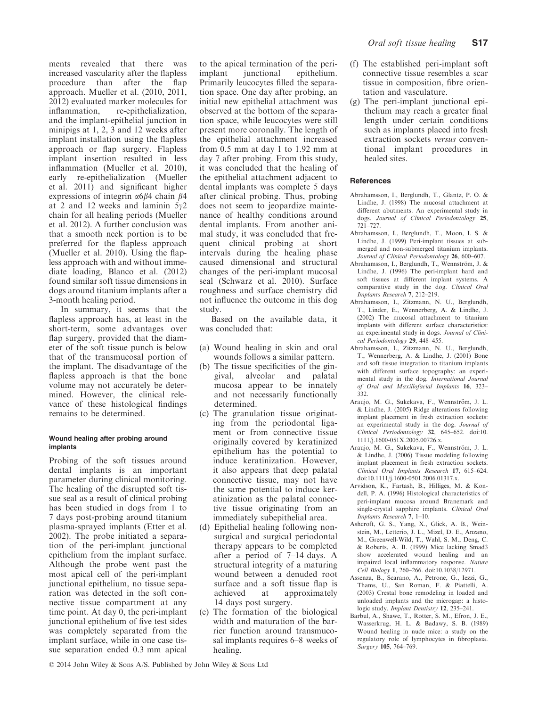ments revealed that there was increased vascularity after the flapless procedure than after the flap approach. Mueller et al. (2010, 2011, 2012) evaluated marker molecules for inflammation, re-epithelialization, and the implant-epithelial junction in minipigs at 1, 2, 3 and 12 weeks after implant installation using the flapless approach or flap surgery. Flapless implant insertion resulted in less inflammation (Mueller et al. 2010), early re-epithelialization (Mueller et al. 2011) and significant higher expressions of integrin  $\alpha$ 6 $\beta$ 4 chain  $\beta$ 4 at 2 and 12 weeks and laminin  $5y2$ chain for all healing periods (Mueller et al. 2012). A further conclusion was that a smooth neck portion is to be preferred for the flapless approach (Mueller et al. 2010). Using the flapless approach with and without immediate loading, Blanco et al. (2012) found similar soft tissue dimensions in dogs around titanium implants after a 3-month healing period.

In summary, it seems that the flapless approach has, at least in the short-term, some advantages over flap surgery, provided that the diameter of the soft tissue punch is below that of the transmucosal portion of the implant. The disadvantage of the flapless approach is that the bone volume may not accurately be determined. However, the clinical relevance of these histological findings remains to be determined.

## Wound healing after probing around implants

Probing of the soft tissues around dental implants is an important parameter during clinical monitoring. The healing of the disrupted soft tissue seal as a result of clinical probing has been studied in dogs from 1 to 7 days post-probing around titanium plasma-sprayed implants (Etter et al. 2002). The probe initiated a separation of the peri-implant junctional epithelium from the implant surface. Although the probe went past the most apical cell of the peri-implant junctional epithelium, no tissue separation was detected in the soft connective tissue compartment at any time point. At day 0, the peri-implant junctional epithelium of five test sides was completely separated from the implant surface, while in one case tissue separation ended 0.3 mm apical

to the apical termination of the peri-<br>implant iunctional epithelium. epithelium. Primarily leucocytes filled the separation space. One day after probing, an initial new epithelial attachment was observed at the bottom of the separation space, while leucocytes were still present more coronally. The length of the epithelial attachment increased from 0.5 mm at day 1 to 1.92 mm at day 7 after probing. From this study, it was concluded that the healing of the epithelial attachment adjacent to dental implants was complete 5 days after clinical probing. Thus, probing does not seem to jeopardize maintenance of healthy conditions around dental implants. From another animal study, it was concluded that frequent clinical probing at short intervals during the healing phase caused dimensional and structural changes of the peri-implant mucosal seal (Schwarz et al. 2010). Surface roughness and surface chemistry did not influence the outcome in this dog study.

Based on the available data, it was concluded that:

- (a) Wound healing in skin and oral wounds follows a similar pattern.
- (b) The tissue specificities of the gingival, alveolar and palatal mucosa appear to be innately and not necessarily functionally determined.
- (c) The granulation tissue originating from the periodontal ligament or from connective tissue originally covered by keratinized epithelium has the potential to induce keratinization. However, it also appears that deep palatal connective tissue, may not have the same potential to induce keratinization as the palatal connective tissue originating from an immediately subepithelial area.
- (d) Epithelial healing following nonsurgical and surgical periodontal therapy appears to be completed after a period of 7–14 days. A structural integrity of a maturing wound between a denuded root surface and a soft tissue flap is achieved at approximately 14 days post surgery.
- (e) The formation of the biological width and maturation of the barrier function around transmucosal implants requires 6–8 weeks of healing.
- (f) The established peri-implant soft connective tissue resembles a scar tissue in composition, fibre orientation and vasculature.
- (g) The peri-implant junctional epithelium may reach a greater final length under certain conditions such as implants placed into fresh extraction sockets versus conventional implant procedures in healed sites.

# References

- Abrahamsson, I., Berglundh, T., Glantz, P. O. & Lindhe, J. (1998) The mucosal attachment at different abutments. An experimental study in dogs. Journal of Clinical Periodontology 25, 721–727.
- Abrahamsson, I., Berglundh, T., Moon, I. S. & Lindhe, J. (1999) Peri-implant tissues at submerged and non-submerged titanium implants. Journal of Clinical Periodontology 26, 600–607.
- Abrahamsson, I., Berglundh, T., Wennström, J. & Lindhe, J. (1996) The peri-implant hard and soft tissues at different implant systems. A comparative study in the dog. Clinical Oral Implants Research 7, 212–219.
- Abrahamsson, I., Zitzmann, N. U., Berglundh, T., Linder, E., Wennerberg, A. & Lindhe, J. (2002) The mucosal attachment to titanium implants with different surface characteristics: an experimental study in dogs. Journal of Clinical Periodontology 29, 448–455.
- Abrahamsson, I., Zitzmann, N. U., Berglundh, T., Wennerberg, A. & Lindhe, J. (2001) Bone and soft tissue integration to titanium implants with different surface topography: an experimental study in the dog. International Journal of Oral and Maxillofacial Implants 16, 323– 332
- Araujo, M. G., Sukekava, F., Wennström, J. L. & Lindhe, J. (2005) Ridge alterations following implant placement in fresh extraction sockets: an experimental study in the dog. Journal of Clinical Periodontology 32, 645–652. doi:10. 1111/j.1600-051X.2005.00726.x.
- Araujo, M. G., Sukekava, F., Wennström, J. L. & Lindhe, J. (2006) Tissue modeling following implant placement in fresh extraction sockets. Clinical Oral Implants Research 17, 615–624. doi:10.1111/j.1600-0501.2006.01317.x.
- Arvidson, K., Fartash, B., Hilliges, M. & Kondell, P. A. (1996) Histological characteristics of peri-implant mucosa around Branemark and single-crystal sapphire implants. Clinical Oral Implants Research 7, 1–10.
- Ashcroft, G. S., Yang, X., Glick, A. B., Weinstein, M., Letterio, J. L., Mizel, D. E., Anzano, M., Greenwell-Wild, T., Wahl, S. M., Deng, C. & Roberts, A. B. (1999) Mice lacking Smad3 show accelerated wound healing and an impaired local inflammatory response. Nature Cell Biology 1, 260–266. doi:10.1038/12971.
- Assenza, B., Scarano, A., Petrone, G., Iezzi, G., Thams, U., San Roman, F. & Piattelli, A. (2003) Crestal bone remodeling in loaded and unloaded implants and the microgap: a histologic study. Implant Dentistry 12, 235–241.
- Barbul, A., Shawe, T., Rotter, S. M., Efron, J. E., Wasserkrug, H. L. & Badawy, S. B. (1989) Wound healing in nude mice: a study on the regulatory role of lymphocytes in fibroplasia. Surgery 105, 764–769.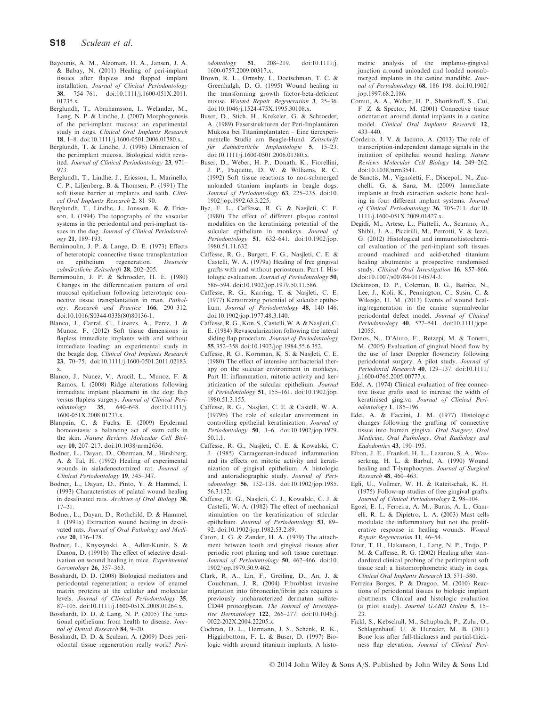- Bayounis, A. M., Alzoman, H. A., Jansen, J. A. & Babay, N. (2011) Healing of peri-implant tissues after flapless and flapped implant installation. Journal of Clinical Periodontology 38, 754–761. doi:10.1111/j.1600-051X.2011. 01735.x.
- Berglundh, T., Abrahamsson, I., Welander, M., Lang, N. P. & Lindhe, J. (2007) Morphogenesis of the peri-implant mucosa: an experimental study in dogs. Clinical Oral Implants Research 18, 1–8. doi:10.1111/j.1600-0501.2006.01380.x.
- Berglundh, T. & Lindhe, J. (1996) Dimension of the periimplant mucosa. Biological width revisited. Journal of Clinical Periodontology 23, 971– 973.
- Berglundh, T., Lindhe, J., Ericsson, I., Marinello, C. P., Liljenberg, B. & Thomsen, P. (1991) The soft tissue barrier at implants and teeth. Clinical Oral Implants Research 2, 81–90.
- Berglundh, T., Lindhe, J., Jonsson, K. & Ericsson, I. (1994) The topography of the vascular systems in the periodontal and peri-implant tissues in the dog. Journal of Clinical Periodontology 21, 189–193.
- Bernimoulin, J. P. & Lange, D. E. (1973) Effects of heterotopic connective tissue transplantation<br>on epithelium regeneration. *Deutsche* on epithelium regeneration. zahnärztliche Zeitschrift 28, 202-205.
- Bernimoulin, J. P. & Schroeder, H. E. (1980) Changes in the differentiation pattern of oral mucosal epithelium following heterotopic connective tissue transplantation in man. Pathology, Research and Practice 166, 290–312. doi:10.1016/S0344-0338(80)80136-1.
- Blanco, J., Carral, C., Linares, A., Perez, J. & Munoz, F. (2012) Soft tissue dimensions in flapless immediate implants with and without immediate loading: an experimental study in the beagle dog. Clinical Oral Implants Research 23, 70–75. doi:10.1111/j.1600-0501.2011.02183. x.
- Blanco, J., Nunez, V., Aracil, L., Munoz, F. & Ramos, I. (2008) Ridge alterations following immediate implant placement in the dog: flap versus flapless surgery. Journal of Clinical Periodontology 35, 640–648. doi:10.1111/j. 1600-051X.2008.01237.x.
- Blanpain, C. & Fuchs, E. (2009) Epidermal homeostasis: a balancing act of stem cells in the skin. Nature Reviews Molecular Cell Biology 10, 207–217. doi:10.1038/nrm2636.
- Bodner, L., Dayan, D., Oberman, M., Hirshberg, A. & Tal, H. (1992) Healing of experimental wounds in sialadenectomized rat. Journal of Clinical Periodontology 19, 345–347.
- Bodner, L., Dayan, D., Pinto, Y. & Hammel, I. (1993) Characteristics of palatal wound healing in desalivated rats. Archives of Oral Biology 38, 17–21.
- Bodner, L., Dayan, D., Rothchild, D. & Hammel, I. (1991a) Extraction wound healing in desalivated rats. Journal of Oral Pathology and Medicine 20, 176–178.
- Bodner, L., Knyszynski, A., Adler-Kunin, S. & Danon, D. (1991b) The effect of selective desalivation on wound healing in mice. Experimental Gerontology 26, 357–363.
- Bosshardt, D. D. (2008) Biological mediators and periodontal regeneration: a review of enamel matrix proteins at the cellular and molecular levels. Journal of Clinical Periodontology 35, 87–105. doi:10.1111/j.1600-051X.2008.01264.x.
- Bosshardt, D. D. & Lang, N. P. (2005) The junctional epithelium: from health to disease. Journal of Dental Research 84, 9–20.
- Bosshardt, D. D. & Sculean, A. (2009) Does periodontal tissue regeneration really work? Peri-

odontology 51, 208–219. doi:10.1111/j. 1600-0757.2009.00317.x.

- Brown, R. L., Ormsby, I., Doetschman, T. C. & Greenhalgh, D. G. (1995) Wound healing in the transforming growth factor-beta-deficient mouse. Wound Repair Regeneration 3, 25–36. doi:10.1046/j.1524-475X.1995.30108.x.
- Buser, D., Stich, H., Krekeler, G. & Schroeder, A. (1989) Faserstrukturen der Peri-Implantären Mukosa bei Titanimplantaten – Eine tierexperimentelle Studie am Beagle-Hund. Zeitschrift für Zahnärztliche Implantologie 5, 15-23. doi:10.1111/j.1600-0501.2006.01380.x.
- Buser, D., Weber, H. P., Donath, K., Fiorellini, J. P., Paquette, D. W. & Williams, R. C. (1992) Soft tissue reactions to non-submerged unloaded titanium implants in beagle dogs. Journal of Periodontology 63, 225-235. doi:10. 1902/jop.1992.63.3.225.
- Bye, F. L., Caffesse, R. G. & Nasjleti, C. E. (1980) The effect of different plaque control modalities on the keratinizing potential of the sulcular epithelium in monkeys. Journal of Periodontology 51, 632–641. doi:10.1902/jop. 1980.51.11.632.
- Caffesse, R. G., Burgett, F. G., Nasjleti, C. E. & Castelli, W. A. (1979a) Healing of free gingival grafts with and without periosteum. Part I. Histologic evaluation. Journal of Periodontology 50, 586–594. doi:10.1902/jop.1979.50.11.586.
- Caffesse, R. G., Karring, T. & Nasjleti, C. E. (1977) Keratinizing potential of sulcular epithelium. Journal of Periodontology 48, 140–146. doi:10.1902/jop.1977.48.3.140.
- Caffesse, R. G., Kon, S., Castelli, W. A. & Nasjleti, C. E. (1984) Revascularization following the lateral sliding flap procedure. Journal of Periodontology 55, 352–358. doi:10.1902/jop.1984.55.6.352.
- Caffesse, R. G., Kornman, K. S. & Nasjleti, C. E. (1980) The effect of intensive antibacterial therapy on the sulcular environment in monkeys. Part II: inflammation, mitotic activity and keratinization of the sulcular epithelium. Journal of Periodontology 51, 155–161. doi:10.1902/jop. 1980.51.3.155.
- Caffesse, R. G., Nasjleti, C. E. & Castelli, W. A. (1979b) The role of sulcular environment in controlling epithelial keratinization. Journal of Periodontology 50, 1–6. doi:10.1902/jop.1979. 50.1.1.
- Caffesse, R. G., Nasjleti, C. E. & Kowalski, C. J. (1985) Carrageenan-induced inflammation and its effects on mitotic activity and keratinization of gingival epithelium. A histologic and autoradiographic study. Journal of Periodontology 56, 132–138. doi:10.1902/jop.1985. 56.3.132.
- Caffesse, R. G., Nasjleti, C. J., Kowalski, C. J. & Castelli, W. A. (1982) The effect of mechanical stimulation on the keratinization of sulcular epithelium. Journal of Periodontology 53, 89– 92. doi:10.1902/jop.1982.53.2.89.
- Caton, J. G. & Zander, H. A. (1979) The attachment between tooth and gingival tissues after periodic root planing and soft tissue curettage. Journal of Periodontology 50, 462–466. doi:10. 1902/jop.1979.50.9.462.
- Clark, R. A., Lin, F., Greiling, D., An, J. & Couchman, J. R. (2004) Fibroblast invasive migration into fibronectin/fibrin gels requires a previously uncharacterized dermatan sulfate-CD44 proteoglycan. The Journal of Investigative Dermatology 122, 266–277. doi:10.1046/j. 0022-202X.2004.22205.x.
- Cochran, D. L., Hermann, J. S., Schenk, R. K., Higginbottom, F. L. & Buser, D. (1997) Biologic width around titanium implants. A histo-

metric analysis of the implanto-gingival junction around unloaded and loaded nonsubmerged implants in the canine mandible. Journal of Periodontology 68, 186–198. doi:10.1902/ jop.1997.68.2.186.

- Comut, A. A., Weber, H. P., Shortkroff, S., Cui, F. Z. & Spector, M. (2001) Connective tissue orientation around dental implants in a canine model. Clinical Oral Implants Research 12, 433–440.
- Cordeiro, J. V. & Jacinto, A. (2013) The role of transcription-independent damage signals in the initiation of epithelial wound healing. Nature Reviews Molecular Cell Biology 14, 249–262. doi:10.1038/nrm3541.
- de Sanctis, M., Vignoletti, F., Discepoli, N., Zucchelli, G. & Sanz, M. (2009) Immediate implants at fresh extraction sockets: bone healing in four different implant systems. Journal of Clinical Periodontology 36, 705–711. doi:10. 1111/j.1600-051X.2009.01427.x.
- Degidi, M., Artese, L., Piattelli, A., Scarano, A., Shibli, J. A., Piccirilli, M., Perrotti, V. & Iezzi, G. (2012) Histological and immunohistochemical evaluation of the peri-implant soft tissues around machined and acid-etched titanium healing abutments: a prospective randomised study. Clinical Oral Investigation 16, 857–866. doi:10.1007/s00784-011-0574-3.
- Dickinson, D. P., Coleman, B. G., Batrice, N., Lee, J., Koli, K., Pennington, C., Susin, C. & Wikesjo, U. M. (2013) Events of wound healing/regeneration in the canine supraalveolar periodontal defect model. Journal of Clinical Periodontology 40, 527–541. doi:10.1111/jcpe. 12055.
- Donos, N., D'Aiuto, F., Retzepi, M. & Tonetti, M. (2005) Evaluation of gingival blood flow by the use of laser Doppler flowmetry following periodontal surgery. A pilot study. Journal of Periodontal Research 40, 129–137. doi:10.1111/ j.1600-0765.2005.00777.x.
- Edel, A. (1974) Clinical evaluation of free connective tissue grafts used to increase the width of keratinised gingiva. Journal of Clinical Periodontology 1, 185–196.
- Edel, A. & Faccini, J. M. (1977) Histologic changes following the grafting of connective tissue into human gingiva. Oral Surgery, Oral Medicine, Oral Pathology, Oral Radiology and Endodontics 43, 190–195.
- Efron, J. E., Frankel, H. L., Lazarou, S. A., Wasserkrug, H. L. & Barbul, A. (1990) Wound healing and T-lymphocytes. Journal of Surgical Research 48, 460–463.
- Egli, U., Vollmer, W. H. & Rateitschak, K. H. (1975) Follow-up studies of free gingival grafts. Journal of Clinical Periodontology 2, 98–104.
- Egozi, E. I., Ferreira, A. M., Burns, A. L., Gamelli, R. L. & Dipietro, L. A. (2003) Mast cells modulate the inflammatory but not the proliferative response in healing wounds. Wound Repair Regeneration 11, 46–54.
- Etter, T. H., Hakanson, I., Lang, N. P., Trejo, P. M. & Caffesse, R. G. (2002) Healing after standardized clinical probing of the perlimplant soft tissue seal: a histomorphometric study in dogs. Clinical Oral Implants Research 13, 571–580.
- Ferreira Borges, P. & Dragoo, M. (2010) Reactions of periodontal tissues to biologic implant abutments. Clinical and histologic evaluation (a pilot study). Journal GABD Online 5, 15– 23.
- Fickl, S., Kebschull, M., Schupbach, P., Zuhr, O., Schlagenhauf, U. & Hurzeler, M. B. (2011) Bone loss after full-thickness and partial-thickness flap elevation. Journal of Clinical Peri-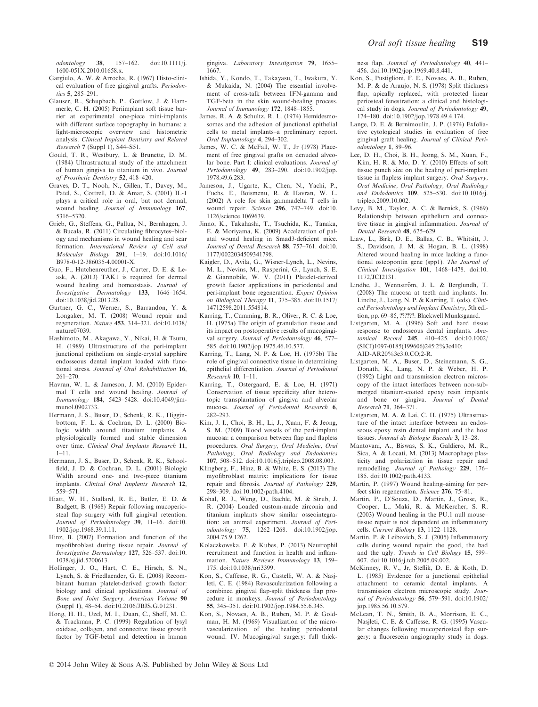odontology 38, 157–162. doi:10.1111/j. 1600-051X.2010.01658.x.

- Gargiulo, A. W. & Arrocha, R. (1967) Histo-clinical evaluation of free gingival grafts. Periodontics 5, 285–291
- Glauser, R., Schupbach, P., Gottlow, J. & Hammerle, C. H. (2005) Periimplant soft tissue barrier at experimental one-piece mini-implants with different surface topography in humans: a light-microscopic overview and histometric analysis. Clinical Implant Dentistry and Related Research 7 (Suppl 1), S44–S51.
- Gould, T. R., Westbury, L. & Brunette, D. M. (1984) Ultrastructural study of the attachment of human gingiva to titanium in vivo. Journal of Prosthetic Dentistry 52, 418–420.
- Graves, D. T., Nooh, N., Gillen, T., Davey, M., Patel, S., Cottrell, D. & Amar, S. (2001) IL-1 plays a critical role in oral, but not dermal, wound healing. Journal of Immunology 167, 5316–5320.
- Grieb, G., Steffens, G., Pallua, N., Bernhagen, J. & Bucala, R. (2011) Circulating fibrocytes–biology and mechanisms in wound healing and scar formation. International Review of Cell and Molecular Biology 291, 1–19. doi:10.1016/ B978-0-12-386035-4.00001-X.
- Guo, F., Hutchenreuther, J., Carter, D. E. & Leask, A. (2013) TAK1 is required for dermal wound healing and homeostasis. Journal of Investigative Dermatology 133, 1646–1654. doi:10.1038/jid.2013.28.
- Gurtner, G. C., Werner, S., Barrandon, Y. & Longaker, M. T. (2008) Wound repair and regeneration. Nature 453, 314–321. doi:10.1038/ nature07039.
- Hashimoto, M., Akagawa, Y., Nikai, H. & Tsuru, H. (1989) Ultrastructure of the peri-implant junctional epithelium on single-crystal sapphire endosseous dental implant loaded with functional stress. Journal of Oral Rehabilitation 16, 261–270.
- Havran, W. L. & Jameson, J. M. (2010) Epidermal T cells and wound healing. Journal of Immunology 184, 5423–5428. doi:10.4049/jimmunol.0902733.
- Hermann, J. S., Buser, D., Schenk, R. K., Higginbottom, F. L. & Cochran, D. L. (2000) Biologic width around titanium implants. A physiologically formed and stable dimension over time. Clinical Oral Implants Research 11, 1–11.
- Hermann, J. S., Buser, D., Schenk, R. K., Schoolfield, J. D. & Cochran, D. L. (2001) Biologic Width around one- and two-piece titanium implants. Clinical Oral Implants Research 12, 559–571.
- Hiatt, W. H., Stallard, R. E., Butler, E. D. & Badgett, B. (1968) Repair following mucoperiosteal flap surgery with full gingival retention. Journal of Periodontology 39, 11–16. doi:10. 1902/jop.1968.39.1.11.
- Hinz, B. (2007) Formation and function of the myofibroblast during tissue repair. Journal of Investigative Dermatology 127, 526–537. doi:10. 1038/sj.jid.5700613.
- Hollinger, J. O., Hart, C. E., Hirsch, S. N., Lynch, S. & Friedlaender, G. E. (2008) Recombinant human platelet-derived growth factor: biology and clinical applications. Journal of Bone and Joint Surgery. American Volume 90 (Suppl 1), 48–54. doi:10.2106/JBJS.G.01231.
- Hong, H. H., Uzel, M. I., Duan, C., Sheff, M. C. & Trackman, P. C. (1999) Regulation of lysyl oxidase, collagen, and connective tissue growth factor by TGF-beta1 and detection in human

gingiva. Laboratory Investigation 79, 1655– 1667.

- Ishida, Y., Kondo, T., Takayasu, T., Iwakura, Y. & Mukaida, N. (2004) The essential involvement of cross-talk between IFN-gamma and TGF-beta in the skin wound-healing process. Journal of Immunology 172, 1848–1855.
- James, R. A. & Schultz, R. L. (1974) Hemidesmosomes and the adhesion of junctional epithelial cells to metal implants–a preliminary report. Oral Implantology 4, 294–302.
- James, W. C. & McFall, W. T., Jr (1978) Placement of free gingival grafts on denuded alveolar bone. Part I: clinical evaluations. Journal of Periodontology 49, 283–290. doi:10.1902/jop. 1978.49.6.283.
- Jameson, J., Ugarte, K., Chen, N., Yachi, P., Fuchs, E., Boismenu, R. & Havran, W. L. (2002) A role for skin gammadelta T cells in wound repair. Science 296, 747–749. doi:10. 1126/science.1069639.
- Jinno, K., Takahashi, T., Tsuchida, K., Tanaka, E. & Moriyama, K. (2009) Acceleration of palatal wound healing in Smad3-deficient mice. Journal of Dental Research 88, 757–761. doi:10. 1177/0022034509341798.
- Kaigler, D., Avila, G., Wisner-Lynch, L., Nevins, M. L., Nevins, M., Rasperini, G., Lynch, S. E. & Giannobile, W. V. (2011) Platelet-derived growth factor applications in periodontal and peri-implant bone regeneration. Expert Opinion on Biological Therapy 11, 375–385. doi:10.1517/ 14712598.2011.554814.
- Karring, T., Cumming, B. R., Oliver, R. C. & Loe, H. (1975a) The origin of granulation tissue and its impact on postoperative results of mucogingival surgery. Journal of Periodontology 46, 577– 585. doi:10.1902/jop.1975.46.10.577.
- Karring, T., Lang, N. P. & Loe, H. (1975b) The role of gingival connective tissue in determining epithelial differentiation. Journal of Periodontal Research 10, 1–11.
- Karring, T., Ostergaard, E. & Loe, H. (1971) Conservation of tissue specificity after heterotopic transplantation of gingiva and alveolar mucosa. Journal of Periodontal Research 6, 282–293.
- Kim, J. I., Choi, B. H., Li, J., Xuan, F. & Jeong, S. M. (2009) Blood vessels of the peri-implant mucosa: a comparison between flap and flapless procedures. Oral Surgery, Oral Medicine, Oral Pathology, Oral Radiology and Endodontics 107, 508–512. doi:10.1016/j.tripleo.2008.08.003.
- Klingberg, F., Hinz, B. & White, E. S. (2013) The myofibroblast matrix: implications for tissue repair and fibrosis. Journal of Pathology 229, 298–309. doi:10.1002/path.4104.
- Kohal, R. J., Weng, D., Bachle, M. & Strub, J. R. (2004) Loaded custom-made zirconia and titanium implants show similar osseointegration: an animal experiment. Journal of Periodontology 75, 1262–1268. doi:10.1902/jop. 2004.75.9.1262.
- Kolaczkowska, E. & Kubes, P. (2013) Neutrophil recruitment and function in health and inflammation. Nature Reviews Immunology 13, 159– 175. doi:10.1038/nri3399.
- Kon, S., Caffesse, R. G., Castelli, W. A. & Nasjleti, C. E. (1984) Revascularization following a combined gingival flap-split thickness flap procedure in monkeys. Journal of Periodontology 55, 345–351. doi:10.1902/jop.1984.55.6.345.
- Kon, S., Novaes, A. B., Ruben, M. P. & Goldman, H. M. (1969) Visualization of the microvascularization of the healing periodontal wound. IV. Mucogingival surgery: full thick-

ness flap. Journal of Periodontology 40, 441– 456. doi:10.1902/jop.1969.40.8.441.

- Kon, S., Pustiglioni, F. E., Novaes, A. B., Ruben, M. P. & de Araujo, N. S. (1978) Split thickness flap, apically replaced, with protected linear periosteal fenestration: a clinical and histological study in dogs. Journal of Periodontology 49, 174–180. doi:10.1902/jop.1978.49.4.174.
- Lange, D. E. & Bernimoulin, J. P. (1974) Exfoliative cytological studies in evaluation of free gingival graft healing. Journal of Clinical Periodontology 1, 89–96.
- Lee, D. H., Choi, B. H., Jeong, S. M., Xuan, F., Kim, H. R. & Mo, D. Y. (2010) Effects of soft tissue punch size on the healing of peri-implant tissue in flapless implant surgery. Oral Surgery, Oral Medicine, Oral Pathology, Oral Radiology and Endodontics 109, 525–530. doi:10.1016/j. tripleo.2009.10.002.
- Levy, B. M., Taylor, A. C. & Bernick, S. (1969) Relationship between epithelium and connective tissue in gingival inflammation. Journal of Dental Research 48, 625–629.
- Liaw, L., Birk, D. E., Ballas, C. B., Whitsitt, J. S., Davidson, J. M. & Hogan, B. L. (1998) Altered wound healing in mice lacking a functional osteopontin gene (spp1). The Journal of Clinical Investigation 101, 1468–1478. doi:10. 1172/JCI2131.
- Lindhe, J., Wennström, J. L. & Berglundh, T. (2008) The mucosa at teeth and implants. In: Lindhe, J., Lang, N. P. & Karring, T. (eds). Clinical Periodontology and Implant Dentistry, 5th edition, pp. 69–85, ??????: Blackwell Munksgaard.
- Listgarten, M. A. (1996) Soft and hard tissue response to endosseous dental implants. Anatomical Record 245, 410–425. doi:10.1002/ (SICI)1097-0185(199606)245:2%3c410: AID-AR20%3e3.0.CO;2-R.
- Listgarten, M. A., Buser, D., Steinemann, S. G., Donath, K., Lang, N. P. & Weber, H. P. (1992) Light and transmission electron microscopy of the intact interfaces between non-submerged titanium-coated epoxy resin implants and bone or gingiva. Journal of Dental Research 71, 364–371.
- Listgarten, M. A. & Lai, C. H. (1975) Ultrastructure of the intact interface between an endosseous epoxy resin dental implant and the host tissues. Journal de Biologie Buccale 3, 13–28.
- Mantovani, A., Biswas, S. K., Galdiero, M. R., Sica, A. & Locati, M. (2013) Macrophage plasticity and polarization in tissue repair and remodelling. Journal of Pathology 229, 176– 185. doi:10.1002/path.4133.
- Martin, P. (1997) Wound healing–aiming for perfect skin regeneration. Science 276, 75–81.
- Martin, P., D'Souza, D., Martin, J., Grose, R., Cooper, L., Maki, R. & McKercher, S. R. (2003) Wound healing in the PU.1 null mouse– tissue repair is not dependent on inflammatory cells. Current Biology 13, 1122–1128.
- Martin, P. & Leibovich, S. J. (2005) Inflammatory cells during wound repair: the good, the bad and the ugly. Trends in Cell Biology 15, 599– 607. doi:10.1016/j.tcb.2005.09.002.
- McKinney, R. V., Jr, Steflik, D. E. & Koth, D. L. (1985) Evidence for a junctional epithelial attachment to ceramic dental implants. A transmission electron microscopic study. Journal of Periodontology 56, 579–591. doi:10.1902/ jop.1985.56.10.579.
- McLean, T. N., Smith, B. A., Morrison, E. C., Nasjleti, C. E. & Caffesse, R. G. (1995) Vascular changes following mucoperiosteal flap surgery: a fluorescein angiography study in dogs.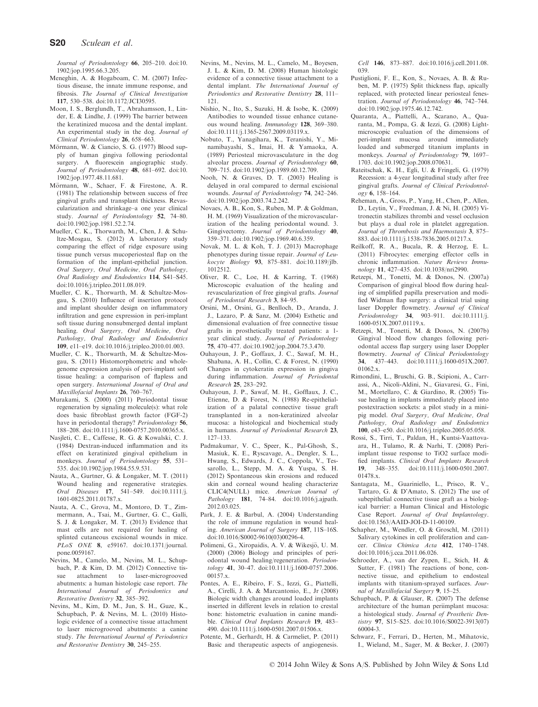Journal of Periodontology 66, 205–210. doi:10. 1902/jop.1995.66.3.205.

- Meneghin, A. & Hogaboam, C. M. (2007) Infectious disease, the innate immune response, and fibrosis. The Journal of Clinical Investigation 117, 530–538. doi:10.1172/JCI30595.
- Moon, I. S., Berglundh, T., Abrahamsson, I., Linder, E. & Lindhe, J. (1999). The barrier between the keratinized mucosa and the dental implant. An experimental study in the dog. Journal of Clinical Periodontology 26, 658–663.
- Mörmann, W. & Ciancio, S. G. (1977) Blood supply of human gingiva following periodontal surgery. A fluorescein angiographic study. Journal of Periodontology 48, 681–692. doi:10. 1902/jop.1977.48.11.681.
- Mörmann, W., Schaer, F. & Firestone, A. R. (1981) The relationship between success of free gingival grafts and transplant thickness. Revascularization and shrinkage–a one year clinical study. Journal of Periodontology 52, 74–80. doi:10.1902/jop.1981.52.2.74.
- Mueller, C. K., Thorwarth, M., Chen, J. & Schultze-Mosgau, S. (2012) A laboratory study comparing the effect of ridge exposure using tissue punch versus mucoperiosteal flap on the formation of the implant-epithelial junction. Oral Surgery, Oral Medicine, Oral Pathology, Oral Radiology and Endodontics 114, S41–S45. doi:10.1016/j.tripleo.2011.08.019.
- Mueller, C. K., Thorwarth, M. & Schultze-Mosgau, S. (2010) Influence of insertion protocol and implant shoulder design on inflammatory infiltration and gene expression in peri-implant soft tissue during nonsubmerged dental implant healing. Oral Surgery, Oral Medicine, Oral Pathology, Oral Radiology and Endodontics 109, e11–e19. doi:10.1016/j.tripleo.2010.01.003.
- Mueller, C. K., Thorwarth, M. & Schultze-Mosgau, S. (2011) Histomorphometric and wholegenome expression analysis of peri-implant soft tissue healing: a comparison of flapless and open surgery. International Journal of Oral and Maxillofacial Implants 26, 760–767.
- Murakami, S. (2000) (2011) Periodontal tissue regeneration by signaling molecule(s): what role does basic fibroblast growth factor (FGF-2) have in periodontal therapy? *Periodontology* 56, 188–208. doi:10.1111/j.1600-0757.2010.00365.x.
- Nasjleti, C. E., Caffesse, R. G. & Kowalski, C. J. (1984) Dextran-induced inflammation and its effect on keratinized gingival epithelium in monkeys. Journal of Periodontology 55, 531– 535. doi:10.1902/jop.1984.55.9.531.
- Nauta, A., Gurtner, G. & Longaker, M. T. (2011) Wound healing and regenerative strategies. Oral Diseases 17, 541–549. doi:10.1111/j. 1601-0825.2011.01787.x.
- Nauta, A. C., Grova, M., Montoro, D. T., Zimmermann, A., Tsai, M., Gurtner, G. C., Galli, S. J. & Longaker, M. T. (2013) Evidence that mast cells are not required for healing of splinted cutaneous excisional wounds in mice. PLoS ONE 8, e59167, doi:10.1371/journal. pone.0059167.
- Nevins, M., Camelo, M., Nevins, M. L., Schupbach, P. & Kim, D. M. (2012) Connective tissue attachment to laser-microgrooved abutments: a human histologic case report. The International Journal of Periodontics and Restorative Dentistry 32, 385–392.
- Nevins, M., Kim, D. M., Jun, S. H., Guze, K., Schupbach, P. & Nevins, M. L. (2010) Histologic evidence of a connective tissue attachment to laser microgrooved abutments: a canine study. The International Journal of Periodontics and Restorative Dentistry 30, 245–255.
- Nevins, M., Nevins, M. L., Camelo, M., Boyesen, J. L. & Kim, D. M. (2008) Human histologic evidence of a connective tissue attachment to a dental implant. The International Journal of Periodontics and Restorative Dentistry 28, 111– 121.
- Nishio, N., Ito, S., Suzuki, H. & Isobe, K. (2009) Antibodies to wounded tissue enhance cutaneous wound healing. Immunology 128, 369–380. doi:10.1111/j.1365-2567.2009.03119.x.
- Nobuto, T., Yanagihara, K., Teranishi, Y., Minamibayashi, S., Imai, H. & Yamaoka, A. (1989) Periosteal microvasculature in the dog alveolar process. Journal of Periodontology 60, 709–715. doi:10.1902/jop.1989.60.12.709.
- Nooh, N. & Graves, D. T. (2003) Healing is delayed in oral compared to dermal excisional wounds. Journal of Periodontology 74, 242–246. doi:10.1902/jop.2003.74.2.242.
- Novaes, A. B., Kon, S., Ruben, M. P. & Goldman, H. M. (1969) Visualization of the microvascularization of the healing periodontal wound. 3. Gingivectomy. Journal of Periodontology 40, 359–371. doi:10.1902/jop.1969.40.6.359.
- Novak, M. L. & Koh, T. J. (2013) Macrophage phenotypes during tissue repair. Journal of Leukocyte Biology 93, 875–881. doi:10.1189/jlb. 1012512.
- Oliver, R. C., Loe, H. & Karring, T. (1968) Microscopic evaluation of the healing and revascularization of free gingival grafts. Journal of Periodontal Research 3, 84–95.
- Orsini, M., Orsini, G., Benlloch, D., Aranda, J. J., Lazaro, P. & Sanz, M. (2004) Esthetic and dimensional evaluation of free connective tissue grafts in prosthetically treated patients: a 1 year clinical study. Journal of Periodontology 75, 470–477. doi:10.1902/jop.2004.75.3.470.
- Ouhayoun, J. P., Goffaux, J. C., Sawaf, M. H., Shabana, A. H., Collin, C. & Forest, N. (1990) Changes in cytokeratin expression in gingiva during inflammation. Journal of Periodontal Research 25, 283–292.
- Ouhayoun, J. P., Sawaf, M. H., Gofflaux, J. C., Etienne, D. & Forest, N. (1988) Re-epithelialization of a palatal connective tissue graft transplanted in a non-keratinized alveolar mucosa: a histological and biochemical study in humans. Journal of Periodontal Research 23, 127–133.
- Padmakumar, V. C., Speer, K., Pal-Ghosh, S., Masiuk, K. E., Ryscavage, A., Dengler, S. L., Hwang, S., Edwards, J. C., Coppola, V., Tessarollo, L., Stepp, M. A. & Yuspa, S. H. (2012) Spontaneous skin erosions and reduced skin and corneal wound healing characterize CLIC4(NULL) mice. American Journal of Pathology 181, 74–84. doi:10.1016/j.ajpath. 2012.03.025.
- Park, J. E. & Barbul, A. (2004) Understanding the role of immune regulation in wound healing. American Journal of Surgery 187, 11S–16S. doi:10.1016/S0002-9610(03)00296-4.
- Polimeni, G., Xiropaidis, A. V. & Wikesjö, U. M. (2000) (2006) Biology and principles of periodontal wound healing/regeneration. Periodontology 41, 30–47. doi:10.1111/j.1600-0757.2006. 00157.x.
- Pontes, A. E., Ribeiro, F. S., Iezzi, G., Piattelli, A., Cirelli, J. A. & Marcantonio, E., Jr (2008) Biologic width changes around loaded implants inserted in different levels in relation to crestal bone: histometric evaluation in canine mandible. Clinical Oral Implants Research 19, 483– 490. doi:10.1111/j.1600-0501.2007.01506.x.
- Potente, M., Gerhardt, H. & Carmeliet, P. (2011). Basic and therapeutic aspects of angiogenesis.

Cell 146, 873–887. doi:10.1016/j.cell.2011.08. 039.

- Pustiglioni, F. E., Kon, S., Novaes, A. B. & Ruben, M. P. (1975) Split thickness flap, apically replaced, with protected linear periosteal fenestration. Journal of Periodontology 46, 742–744. doi:10.1902/jop.1975.46.12.742.
- Quaranta, A., Piattelli, A., Scarano, A., Quaranta, M., Pompa, G. & Iezzi, G. (2008) Lightmicroscopic evaluation of the dimensions of peri-implant mucosa around immediately loaded and submerged titanium implants in monkeys. Journal of Periodontology 79, 1697– 1703. doi:10.1902/jop.2008.070631.
- Rateitschak, K. H., Egli, U. & Fringeli, G. (1979) Recession: a 4-year longitudinal study after free gingival grafts. Journal of Clinical Periodontology 6, 158–164.
- Reheman, A., Gross, P., Yang, H., Chen, P., Allen, D., Leytin, V., Freedman, J. & Ni, H. (2005) Vitronectin stabilizes thrombi and vessel occlusion but plays a dual role in platelet aggregation. Journal of Thrombosis and Haemostasis 3, 875– 883. doi:10.1111/j.1538-7836.2005.01217.x.
- Reilkoff, R. A., Bucala, R. & Herzog, E. L. (2011) Fibrocytes: emerging effector cells in chronic inflammation. Nature Reviews Immunology 11, 427–435. doi:10.1038/nri2990.
- Retzepi, M., Tonetti, M. & Donos, N. (2007a) Comparison of gingival blood flow during healing of simplified papilla preservation and modified Widman flap surgery: a clinical trial using laser Doppler flowmetry. Journal of Clinical Periodontology 34, 903–911. doi:10.1111/j. 1600-051X.2007.01119.x.
- Retzepi, M., Tonetti, M. & Donos, N. (2007b) Gingival blood flow changes following periodontal access flap surgery using laser Doppler flowmetry. Journal of Clinical Periodontology 34, 437–443. doi:10.1111/j.1600-051X.2007. 01062.x.
- Rimondini, L., Bruschi, G. B., Scipioni, A., Carrassi, A., Nicoli-Aldini, N., Giavaresi, G., Fini, M., Mortellaro, C. & Giardino, R. (2005) Tissue healing in implants immediately placed into postextraction sockets: a pilot study in a minipig model. Oral Surgery, Oral Medicine, Oral Pathology, Oral Radiology and Endodontics 100, e43–e50. doi:10.1016/j.tripleo.2005.05.058.
- Rossi, S., Tirri, T., Paldan, H., Kuntsi-Vaattovaara, H., Tulamo, R. & Narhi, T. (2008) Periimplant tissue response to TiO2 surface modified implants. Clinical Oral Implants Research 19, 348–355. doi:10.1111/j.1600-0501.2007. 01478.x.
- Santagata, M., Guariniello, L., Prisco, R. V., Tartaro, G. & D'Amato, S. (2012) The use of subepithelial connective tissue graft as a biological barrier: a Human Clinical and Histologic Case Report. Journal of Oral Implantology. doi:10.1563/AAID-JOI-D-11-00109.
- Schapher, M., Wendler, O. & Groschl, M. (2011) Salivary cytokines in cell proliferation and cancer. Clinica Chimica Acta 412, 1740–1748. doi:10.1016/j.cca.2011.06.026.
- Schroeder, A., van der Zypen, E., Stich, H. & Sutter, F. (1981) The reactions of bone, connective tissue, and epithelium to endosteal implants with titanium-sprayed surfaces. Journal of Maxillofacial Surgery 9, 15–25.
- Schupbach, P. & Glauser, R. (2007) The defense architecture of the human periimplant mucosa: a histological study. Journal of Prosthetic Dentistry 97, S15–S25. doi:10.1016/S0022-3913(07) 60004-3.
- Schwarz, F., Ferrari, D., Herten, M., Mihatovic, I., Wieland, M., Sager, M. & Becker, J. (2007)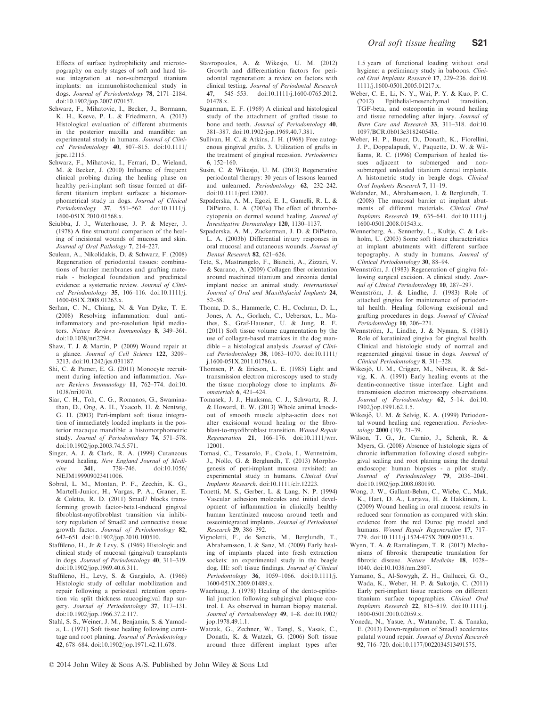Effects of surface hydrophilicity and microtopography on early stages of soft and hard tissue integration at non-submerged titanium implants: an immunohistochemical study in dogs. Journal of Periodontology 78, 2171–2184. doi:10.1902/jop.2007.070157.

- Schwarz, F., Mihatovic, I., Becker, J., Bormann, K. H., Keeve, P. L. & Friedmann, A. (2013) Histological evaluation of different abutments in the posterior maxilla and mandible: an experimental study in humans. Journal of Clinical Periodontology 40, 807–815. doi:10.1111/ jcpe.12115.
- Schwarz, F., Mihatovic, I., Ferrari, D., Wieland, M. & Becker, J. (2010) Influence of frequent clinical probing during the healing phase on healthy peri-implant soft tissue formed at different titanium implant surfaces: a histomorphometrical study in dogs. Journal of Clinical Periodontology 37, 551–562. doi:10.1111/j. 1600-051X.2010.01568.x.
- Sciubba, J. J., Waterhouse, J. P. & Meyer, J. (1978) A fine structural comparison of the healing of incisional wounds of mucosa and skin. Journal of Oral Pathology 7, 214–227.
- Sculean, A., Nikolidakis, D. & Schwarz, F. (2008) Regeneration of periodontal tissues: combinations of barrier membranes and grafting materials - biological foundation and preclinical evidence: a systematic review. Journal of Clinical Periodontology 35, 106–116. doi:10.1111/j. 1600-051X.2008.01263.x.
- Serhan, C. N., Chiang, N. & Van Dyke, T. E. (2008) Resolving inflammation: dual antiinflammatory and pro-resolution lipid mediators. Nature Reviews Immunology 8, 349–361. doi:10.1038/nri2294.
- Shaw, T. J. & Martin, P. (2009) Wound repair at a glance. Journal of Cell Science 122, 3209– 3213. doi:10.1242/jcs.031187.
- Shi, C. & Pamer, E. G. (2011) Monocyte recruitment during infection and inflammation. Nature Reviews Immunology 11, 762–774. doi:10. 1038/nri3070.
- Siar, C. H., Toh, C. G., Romanos, G., Swaminathan, D., Ong, A. H., Yaacob, H. & Nentwig, G. H. (2003) Peri-implant soft tissue integration of immediately loaded implants in the posterior macaque mandible: a histomorphometric study. Journal of Periodontology 74, 571–578. doi:10.1902/jop.2003.74.5.571.
- Singer, A. J. & Clark, R. A. (1999) Cutaneous wound healing. New England Journal of Medi-<br>cine 341, 738-746. doi:10.1056 doi:10.1056/ NEJM199909023411006.
- Sobral, L. M., Montan, P. F., Zecchin, K. G., Martelli-Junior, H., Vargas, P. A., Graner, E. & Coletta, R. D. (2011) Smad7 blocks transforming growth factor-beta1-induced gingival fibroblast-myofibroblast transition via inhibitory regulation of Smad2 and connective tissue growth factor. Journal of Periodontology 82, 642–651. doi:10.1902/jop.2010.100510.
- Staffileno, H., Jr & Levy, S. (1969) Histologic and clinical study of mucosal (gingival) transplants in dogs. Journal of Periodontology 40, 311–319. doi:10.1902/jop.1969.40.6.311.
- Staffileno, H., Levy, S. & Gargiulo, A. (1966) Histologic study of cellular mobilization and repair following a periosteal retention operation via split thickness mucogingival flap surgery. Journal of Periodontology 37, 117–131. doi:10.1902/jop.1966.37.2.117.
- Stahl, S. S., Weiner, J. M., Benjamin, S. & Yamada, L. (1971) Soft tissue healing following curettage and root planing. Journal of Periodontology 42, 678–684. doi:10.1902/jop.1971.42.11.678.
- Stavropoulos, A. & Wikesjo, U. M. (2012) Growth and differentiation factors for periodontal regeneration: a review on factors with clinical testing. Journal of Periodontal Research 47, 545–553. doi:10.1111/j.1600-0765.2012. 01478.x.
- Sugarman, E. F. (1969) A clinical and histological study of the attachment of grafted tissue to bone and teeth. Journal of Periodontology 40, 381–387. doi:10.1902/jop.1969.40.7.381.
- Sullivan, H. C. & Atkins, J. H. (1968) Free autogenous gingival grafts. 3. Utilization of grafts in the treatment of gingival recession. Periodontics 6, 152–160.
- Susin, C. & Wikesjo, U. M. (2013) Regenerative periodontal therapy: 30 years of lessons learned and unlearned. Periodontology 62, 232–242. doi:10.1111/prd.12003.
- Szpaderska, A. M., Egozi, E. I., Gamelli, R. L. & DiPietro, L. A. (2003a) The effect of thrombocytopenia on dermal wound healing. Journal of Investigative Dermatology 120, 1130–1137.
- Szpaderska, A. M., Zuckerman, J. D. & DiPietro, L. A. (2003b) Differential injury responses in oral mucosal and cutaneous wounds. Journal of Dental Research 82, 621–626.
- Tete, S., Mastrangelo, F., Bianchi, A., Zizzari, V. & Scarano, A. (2009) Collagen fiber orientation around machined titanium and zirconia dental implant necks: an animal study. International Journal of Oral and Maxillofacial Implants 24, 52–58.
- Thoma, D. S., Hammerle, C. H., Cochran, D. L., Jones, A. A., Gorlach, C., Uebersax, L., Mathes, S., Graf-Hausner, U. & Jung, R. E. (2011) Soft tissue volume augmentation by the use of collagen-based matrices in the dog mandible – a histological analysis. Journal of Clinical Periodontology 38, 1063–1070. doi:10.1111/ j.1600-051X.2011.01786.x.
- Thomsen, P. & Ericson, L. E. (1985) Light and transmission electron microscopy used to study the tissue morphology close to implants. Biomaterials 6, 421–424.
- Tomasek, J. J., Haaksma, C. J., Schwartz, R. J. & Howard, E. W. (2013) Whole animal knockout of smooth muscle alpha-actin does not alter excisional wound healing or the fibroblast-to-myofibroblast transition. Wound Repair Regeneration 21, 166–176. doi:10.1111/wrr. 12001.
- Tomasi, C., Tessarolo, F., Caola, I., Wennström, J., Nollo, G. & Berglundh, T. (2013) Morphogenesis of peri-implant mucosa revisited: an experimental study in humans. Clinical Oral Implants Research. doi:10.1111/clr.12223.
- Tonetti, M. S., Gerber, L. & Lang, N. P. (1994) Vascular adhesion molecules and initial development of inflammation in clinically healthy human keratinized mucosa around teeth and osseointegrated implants. Journal of Periodontal Research 29, 386–392.
- Vignoletti, F., de Sanctis, M., Berglundh, T., Abrahamsson, I. & Sanz, M. (2009) Early healing of implants placed into fresh extraction sockets: an experimental study in the beagle dog. III: soft tissue findings. Journal of Clinical Periodontology 36, 1059–1066. doi:10.1111/j. 1600-051X.2009.01489.x.
- Waerhaug, J. (1978) Healing of the dento-epithelial junction following subgingival plaque control. I. As observed in human biopsy material. Journal of Periodontology 49, 1–8. doi:10.1902/ jop.1978.49.1.1.
- Watzak, G., Zechner, W., Tangl, S., Vasak, C., Donath, K. & Watzek, G. (2006) Soft tissue around three different implant types after

1.5 years of functional loading without oral hygiene: a preliminary study in baboons. Clinical Oral Implants Research 17, 229–236. doi:10. 1111/j.1600-0501.2005.01217.x.

- Weber, C. E., Li, N. Y., Wai, P. Y. & Kuo, P. C. (2012) Epithelial-mesenchymal transition, TGF-beta, and osteopontin in wound healing and tissue remodeling after injury. Journal of Burn Care and Research 33, 311–318. doi:10. 1097/BCR.0b013e318240541e.
- Weber, H. P., Buser, D., Donath, K., Fiorellini, J. P., Doppalapudi, V., Paquette, D. W. & Williams, R. C. (1996) Comparison of healed tissues adjacent to submerged and nonsubmerged unloaded titanium dental implants. A histometric study in beagle dogs. Clinical Oral Implants Research 7, 11–19.
- Welander, M., Abrahamsson, I. & Berglundh, T. (2008) The mucosal barrier at implant abutments of different materials. Clinical Oral Implants Research 19, 635–641. doi:10.1111/j. 1600-0501.2008.01543.x.
- Wennerberg, A., Sennerby, L., Kultie, C. & Lekholm, U. (2003) Some soft tissue characteristics at implant abutments with different surface topography. A study in humans. Journal of Clinical Periodontology 30, 88–94.
- Wennström, J. (1983) Regeneration of gingiva following surgical excision. A clinical study. Journal of Clinical Periodontology 10, 287–297.
- Wennström, J. & Lindhe, J. (1983) Role of attached gingiva for maintenance of periodontal health. Healing following excisional and grafting procedures in dogs. Journal of Clinical Periodontology 10, 206–221.
- Wennström, J., Lindhe, J. & Nyman, S. (1981) Role of keratinized gingiva for gingival health. Clinical and histologic study of normal and regenerated gingival tissue in dogs. Journal of Clinical Periodontology 8, 311–328.
- Wikesjö, U. M., Crigger, M., Nilveus, R. & Selvig, K. A. (1991) Early healing events at the dentin-connective tissue interface. Light and transmission electron microscopy observations. Journal of Periodontology 62, 5-14. doi:10. 1902/jop.1991.62.1.5.
- Wikesjö, U. M. & Selvig, K. A. (1999) Periodontal wound healing and regeneration. Periodontology 2000 (19), 21–39.
- Wilson, T. G., Jr, Carnio, J., Schenk, R. & Myers, G. (2008) Absence of histologic signs of chronic inflammation following closed subgingival scaling and root planing using the dental endoscope: human biopsies - a pilot study. Journal of Periodontology 79, 2036–2041. doi:10.1902/jop.2008.080190.
- Wong, J. W., Gallant-Behm, C., Wiebe, C., Mak, K., Hart, D. A., Larjava, H. & Hakkinen, L. (2009) Wound healing in oral mucosa results in reduced scar formation as compared with skin: evidence from the red Duroc pig model and humans. Wound Repair Regeneration 17, 717– 729. doi:10.1111/j.1524-475X.2009.00531.x.
- Wynn, T. A. & Ramalingam, T. R. (2012) Mechanisms of fibrosis: therapeutic translation for fibrotic disease. Nature Medicine 18, 1028– 1040. doi:10.1038/nm.2807.
- Yamano, S., Al-Sowygh, Z. H., Gallucci, G. O., Wada, K., Weber, H. P. & Sukotjo, C. (2011) Early peri-implant tissue reactions on different titanium surface topographies. Clinical Oral Implants Research 22, 815–819. doi:10.1111/j. 1600-0501.2010.02059.x.
- Yoneda, N., Yasue, A., Watanabe, T. & Tanaka, E. (2013) Down-regulation of Smad3 accelerates palatal wound repair. Journal of Dental Research 92, 716–720. doi:10.1177/0022034513491575.